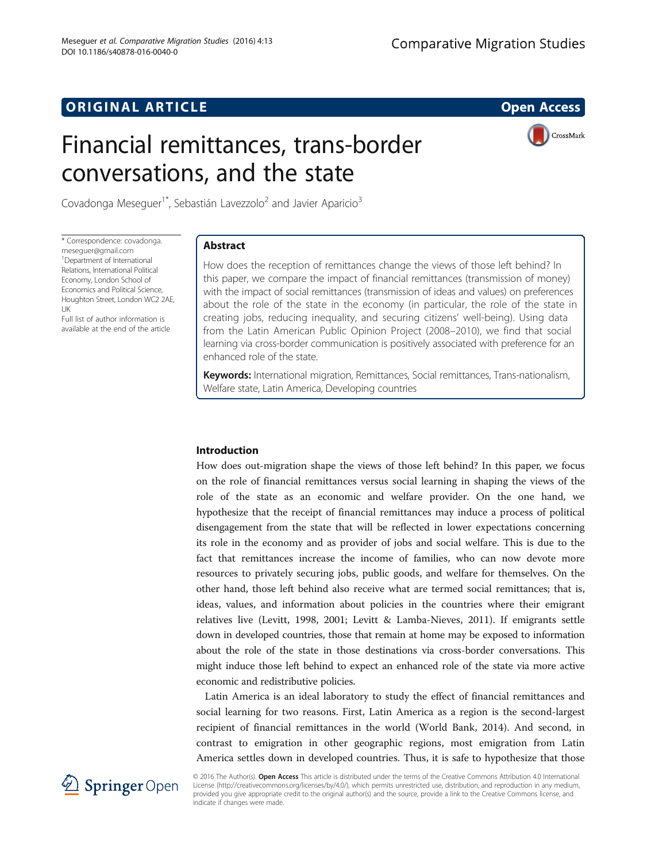# <span id="page-0-0"></span>**ORIGINAL ARTICLE CONSERVANCE IN A LOCAL CONSERVANCE IN A LOCAL CONSERVANCE IN A LOCAL CONSERVANCE IN A LOCAL CONSERVANCE IN A LOCAL CONSERVANCE IN A LOCAL CONSERVANCE IN A LOCAL CONSERVANCE IN A LOCAL CONSERVANCE IN A L**

# Financial remittances, trans-border conversations, and the state



Covadonga Meseguer<sup>1\*</sup>, Sebastián Lavezzolo<sup>2</sup> and Javier Aparicio<sup>3</sup>

\* Correspondence: [covadonga.](mailto:covadonga.meseguer@gmail.com) [meseguer@gmail.com](mailto:covadonga.meseguer@gmail.com) 1 Department of International Relations, International Political Economy, London School of Economics and Political Science, Houghton Street, London WC2 2AE, UK

Full list of author information is available at the end of the article

# Abstract

How does the reception of remittances change the views of those left behind? In this paper, we compare the impact of financial remittances (transmission of money) with the impact of social remittances (transmission of ideas and values) on preferences about the role of the state in the economy (in particular, the role of the state in creating jobs, reducing inequality, and securing citizens' well-being). Using data from the Latin American Public Opinion Project (2008–2010), we find that social learning via cross-border communication is positively associated with preference for an enhanced role of the state.

Keywords: International migration, Remittances, Social remittances, Trans-nationalism, Welfare state, Latin America, Developing countries

# Introduction

How does out-migration shape the views of those left behind? In this paper, we focus on the role of financial remittances versus social learning in shaping the views of the role of the state as an economic and welfare provider. On the one hand, we hypothesize that the receipt of financial remittances may induce a process of political disengagement from the state that will be reflected in lower expectations concerning its role in the economy and as provider of jobs and social welfare. This is due to the fact that remittances increase the income of families, who can now devote more resources to privately securing jobs, public goods, and welfare for themselves. On the other hand, those left behind also receive what are termed social remittances; that is, ideas, values, and information about policies in the countries where their emigrant relatives live (Levitt, [1998](#page-27-0), [2001;](#page-27-0) Levitt & Lamba-Nieves, [2011\)](#page-27-0). If emigrants settle down in developed countries, those that remain at home may be exposed to information about the role of the state in those destinations via cross-border conversations. This might induce those left behind to expect an enhanced role of the state via more active economic and redistributive policies.

Latin America is an ideal laboratory to study the effect of financial remittances and social learning for two reasons. First, Latin America as a region is the second-largest recipient of financial remittances in the world (World Bank, [2014\)](#page-28-0). And second, in contrast to emigration in other geographic regions, most emigration from Latin America settles down in developed countries. Thus, it is safe to hypothesize that those



© 2016 The Author(s). Open Access This article is distributed under the terms of the Creative Commons Attribution 4.0 International License [\(http://creativecommons.org/licenses/by/4.0/](http://creativecommons.org/licenses/by/4.0/)), which permits unrestricted use, distribution, and reproduction in any medium, provided you give appropriate credit to the original author(s) and the source, provide a link to the Creative Commons license, and indicate if changes were made.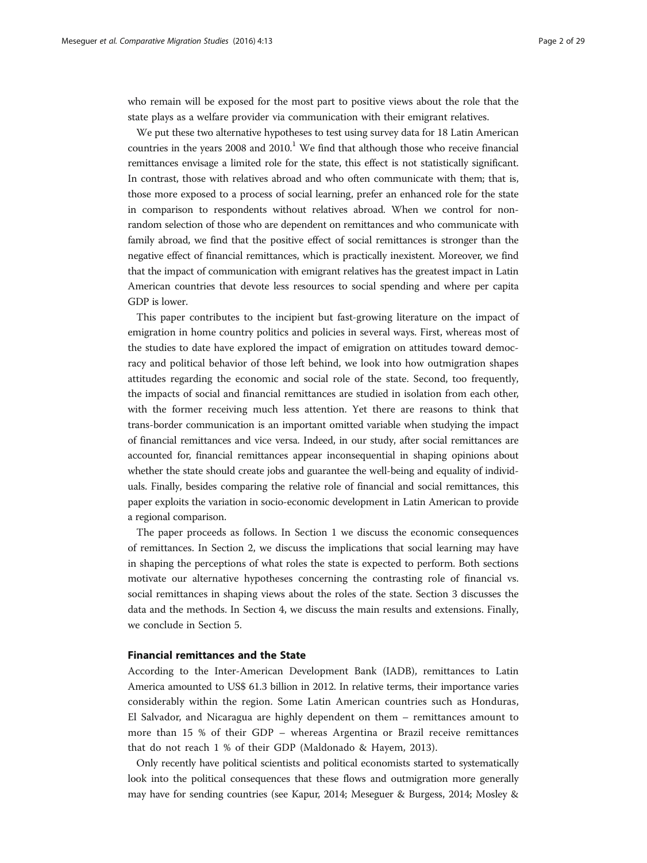who remain will be exposed for the most part to positive views about the role that the state plays as a welfare provider via communication with their emigrant relatives.

We put these two alternative hypotheses to test using survey data for 18 Latin American countries in the years  $2008$  and  $2010<sup>1</sup>$  We find that although those who receive financial remittances envisage a limited role for the state, this effect is not statistically significant. In contrast, those with relatives abroad and who often communicate with them; that is, those more exposed to a process of social learning, prefer an enhanced role for the state in comparison to respondents without relatives abroad. When we control for nonrandom selection of those who are dependent on remittances and who communicate with family abroad, we find that the positive effect of social remittances is stronger than the negative effect of financial remittances, which is practically inexistent. Moreover, we find that the impact of communication with emigrant relatives has the greatest impact in Latin American countries that devote less resources to social spending and where per capita GDP is lower.

This paper contributes to the incipient but fast-growing literature on the impact of emigration in home country politics and policies in several ways. First, whereas most of the studies to date have explored the impact of emigration on attitudes toward democracy and political behavior of those left behind, we look into how outmigration shapes attitudes regarding the economic and social role of the state. Second, too frequently, the impacts of social and financial remittances are studied in isolation from each other, with the former receiving much less attention. Yet there are reasons to think that trans-border communication is an important omitted variable when studying the impact of financial remittances and vice versa. Indeed, in our study, after social remittances are accounted for, financial remittances appear inconsequential in shaping opinions about whether the state should create jobs and guarantee the well-being and equality of individuals. Finally, besides comparing the relative role of financial and social remittances, this paper exploits the variation in socio-economic development in Latin American to provide a regional comparison.

The paper proceeds as follows. In Section [1](#page-0-0) we discuss the economic consequences of remittances. In Section 2, we discuss the implications that social learning may have in shaping the perceptions of what roles the state is expected to perform. Both sections motivate our alternative hypotheses concerning the contrasting role of financial vs. social remittances in shaping views about the roles of the state. Section [3](#page-4-0) discusses the data and the methods. In Section [4,](#page-6-0) we discuss the main results and extensions. Finally, we conclude in Section [5.](#page-8-0)

# Financial remittances and the State

According to the Inter-American Development Bank (IADB), remittances to Latin America amounted to US\$ 61.3 billion in 2012. In relative terms, their importance varies considerably within the region. Some Latin American countries such as Honduras, El Salvador, and Nicaragua are highly dependent on them – remittances amount to more than 15 % of their GDP – whereas Argentina or Brazil receive remittances that do not reach 1 % of their GDP (Maldonado & Hayem, [2013\)](#page-27-0).

Only recently have political scientists and political economists started to systematically look into the political consequences that these flows and outmigration more generally may have for sending countries (see Kapur, [2014;](#page-27-0) Meseguer & Burgess, [2014](#page-27-0); Mosley &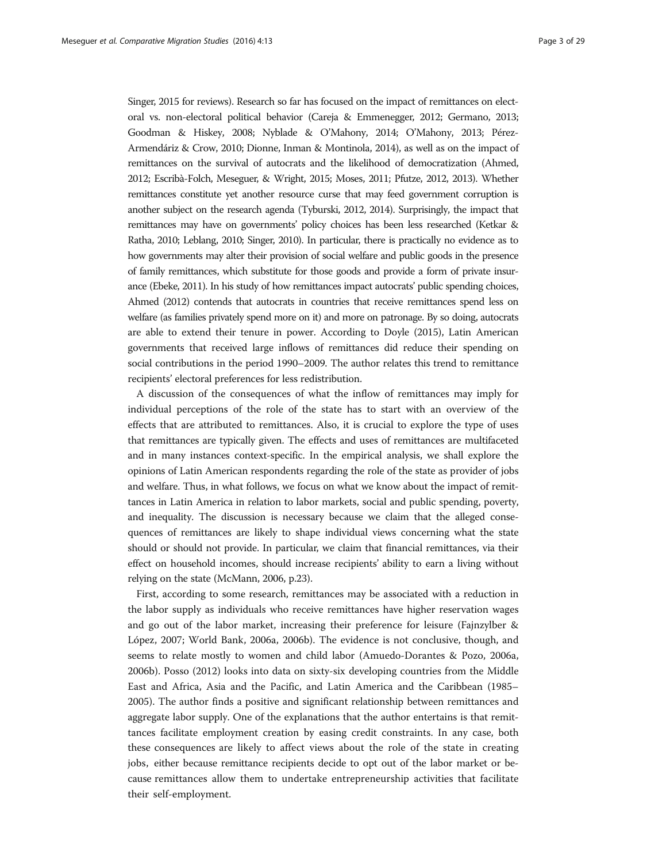Singer, [2015](#page-27-0) for reviews). Research so far has focused on the impact of remittances on electoral vs. non-electoral political behavior (Careja & Emmenegger, [2012](#page-26-0); Germano, [2013](#page-27-0); Goodman & Hiskey, [2008;](#page-27-0) Nyblade & O'Mahony, [2014;](#page-27-0) O'Mahony, [2013;](#page-27-0) Pérez-Armendáriz & Crow, [2010](#page-27-0); Dionne, Inman & Montinola, [2014](#page-27-0)), as well as on the impact of remittances on the survival of autocrats and the likelihood of democratization (Ahmed, [2012;](#page-26-0) Escribà-Folch, Meseguer, & Wright, [2015](#page-27-0); Moses, [2011;](#page-27-0) Pfutze, [2012](#page-27-0), [2013\)](#page-27-0). Whether remittances constitute yet another resource curse that may feed government corruption is another subject on the research agenda (Tyburski, [2012](#page-28-0), [2014\)](#page-28-0). Surprisingly, the impact that remittances may have on governments' policy choices has been less researched (Ketkar & Ratha, [2010](#page-27-0); Leblang, [2010;](#page-27-0) Singer, [2010\)](#page-28-0). In particular, there is practically no evidence as to how governments may alter their provision of social welfare and public goods in the presence of family remittances, which substitute for those goods and provide a form of private insurance (Ebeke, [2011](#page-27-0)). In his study of how remittances impact autocrats' public spending choices, Ahmed [\(2012\)](#page-26-0) contends that autocrats in countries that receive remittances spend less on welfare (as families privately spend more on it) and more on patronage. By so doing, autocrats are able to extend their tenure in power. According to Doyle [\(2015\)](#page-27-0), Latin American governments that received large inflows of remittances did reduce their spending on social contributions in the period 1990–2009. The author relates this trend to remittance recipients' electoral preferences for less redistribution.

A discussion of the consequences of what the inflow of remittances may imply for individual perceptions of the role of the state has to start with an overview of the effects that are attributed to remittances. Also, it is crucial to explore the type of uses that remittances are typically given. The effects and uses of remittances are multifaceted and in many instances context-specific. In the empirical analysis, we shall explore the opinions of Latin American respondents regarding the role of the state as provider of jobs and welfare. Thus, in what follows, we focus on what we know about the impact of remittances in Latin America in relation to labor markets, social and public spending, poverty, and inequality. The discussion is necessary because we claim that the alleged consequences of remittances are likely to shape individual views concerning what the state should or should not provide. In particular, we claim that financial remittances, via their effect on household incomes, should increase recipients' ability to earn a living without relying on the state (McMann, [2006](#page-27-0), p.23).

First, according to some research, remittances may be associated with a reduction in the labor supply as individuals who receive remittances have higher reservation wages and go out of the labor market, increasing their preference for leisure (Fajnzylber & López, [2007;](#page-27-0) World Bank, [2006a](#page-28-0), [2006b\)](#page-28-0). The evidence is not conclusive, though, and seems to relate mostly to women and child labor (Amuedo-Dorantes & Pozo, [2006a](#page-26-0), [2006b](#page-26-0)). Posso ([2012](#page-28-0)) looks into data on sixty-six developing countries from the Middle East and Africa, Asia and the Pacific, and Latin America and the Caribbean (1985– 2005). The author finds a positive and significant relationship between remittances and aggregate labor supply. One of the explanations that the author entertains is that remittances facilitate employment creation by easing credit constraints. In any case, both these consequences are likely to affect views about the role of the state in creating jobs, either because remittance recipients decide to opt out of the labor market or because remittances allow them to undertake entrepreneurship activities that facilitate their self-employment.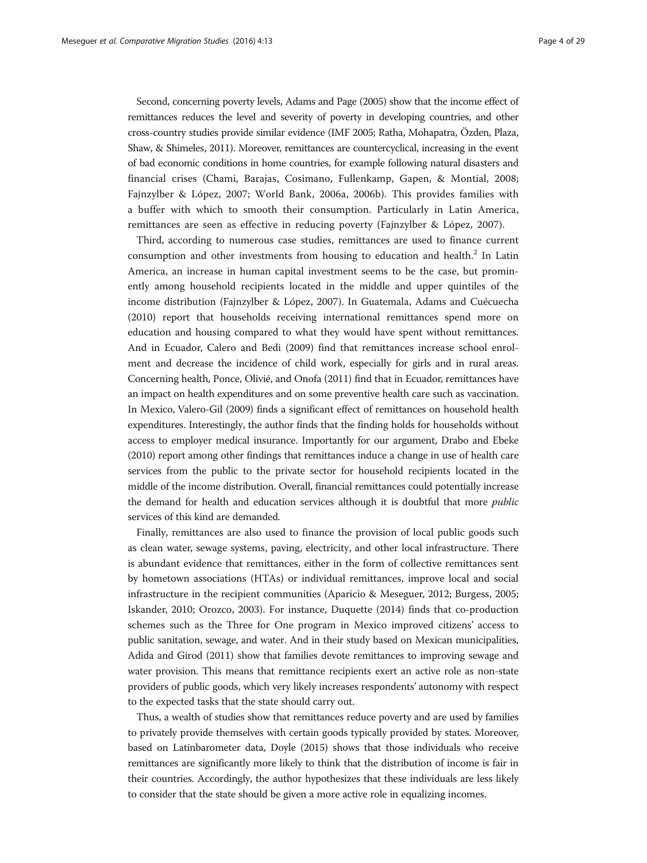Second, concerning poverty levels, Adams and Page [\(2005\)](#page-26-0) show that the income effect of remittances reduces the level and severity of poverty in developing countries, and other cross-country studies provide similar evidence (IMF [2005;](#page-27-0) Ratha, Mohapatra, Özden, Plaza, Shaw, & Shimeles, [2011\)](#page-28-0). Moreover, remittances are countercyclical, increasing in the event of bad economic conditions in home countries, for example following natural disasters and financial crises (Chami, Barajas, Cosimano, Fullenkamp, Gapen, & Montial, [2008](#page-26-0); Fajnzylber & López, [2007](#page-27-0); World Bank, [2006a, 2006b\)](#page-28-0). This provides families with a buffer with which to smooth their consumption. Particularly in Latin America, remittances are seen as effective in reducing poverty (Fajnzylber & López, [2007](#page-27-0)).

Third, according to numerous case studies, remittances are used to finance current consumption and other investments from housing to education and health.<sup>2</sup> In Latin America, an increase in human capital investment seems to be the case, but prominently among household recipients located in the middle and upper quintiles of the income distribution (Fajnzylber & López, [2007](#page-27-0)). In Guatemala, Adams and Cuécuecha ([2010](#page-26-0)) report that households receiving international remittances spend more on education and housing compared to what they would have spent without remittances. And in Ecuador, Calero and Bedi [\(2009\)](#page-26-0) find that remittances increase school enrolment and decrease the incidence of child work, especially for girls and in rural areas. Concerning health, Ponce, Olivié, and Onofa ([2011\)](#page-27-0) find that in Ecuador, remittances have an impact on health expenditures and on some preventive health care such as vaccination. In Mexico, Valero-Gil [\(2009](#page-28-0)) finds a significant effect of remittances on household health expenditures. Interestingly, the author finds that the finding holds for households without access to employer medical insurance. Importantly for our argument, Drabo and Ebeke ([2010\)](#page-27-0) report among other findings that remittances induce a change in use of health care services from the public to the private sector for household recipients located in the middle of the income distribution. Overall, financial remittances could potentially increase the demand for health and education services although it is doubtful that more *public* services of this kind are demanded.

Finally, remittances are also used to finance the provision of local public goods such as clean water, sewage systems, paving, electricity, and other local infrastructure. There is abundant evidence that remittances, either in the form of collective remittances sent by hometown associations (HTAs) or individual remittances, improve local and social infrastructure in the recipient communities (Aparicio & Meseguer, [2012;](#page-26-0) Burgess, [2005](#page-26-0); Iskander, [2010](#page-27-0); Orozco, [2003\)](#page-27-0). For instance, Duquette ([2014](#page-27-0)) finds that co-production schemes such as the Three for One program in Mexico improved citizens' access to public sanitation, sewage, and water. And in their study based on Mexican municipalities, Adida and Girod ([2011](#page-26-0)) show that families devote remittances to improving sewage and water provision. This means that remittance recipients exert an active role as non-state providers of public goods, which very likely increases respondents' autonomy with respect to the expected tasks that the state should carry out.

Thus, a wealth of studies show that remittances reduce poverty and are used by families to privately provide themselves with certain goods typically provided by states. Moreover, based on Latinbarometer data, Doyle ([2015](#page-27-0)) shows that those individuals who receive remittances are significantly more likely to think that the distribution of income is fair in their countries. Accordingly, the author hypothesizes that these individuals are less likely to consider that the state should be given a more active role in equalizing incomes.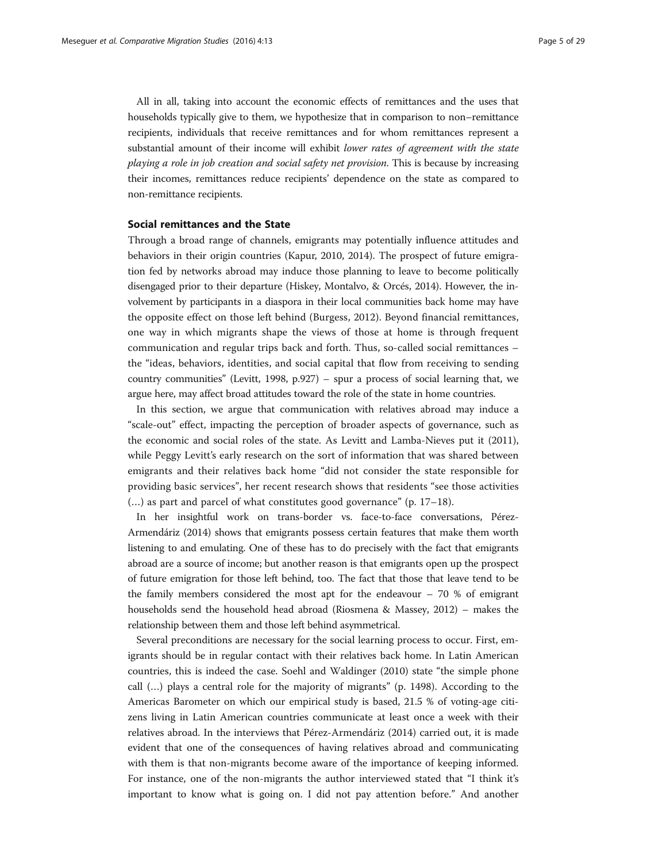<span id="page-4-0"></span>All in all, taking into account the economic effects of remittances and the uses that households typically give to them, we hypothesize that in comparison to non–remittance recipients, individuals that receive remittances and for whom remittances represent a substantial amount of their income will exhibit lower rates of agreement with the state playing a role in job creation and social safety net provision. This is because by increasing their incomes, remittances reduce recipients' dependence on the state as compared to non-remittance recipients.

## Social remittances and the State

Through a broad range of channels, emigrants may potentially influence attitudes and behaviors in their origin countries (Kapur, [2010, 2014](#page-27-0)). The prospect of future emigration fed by networks abroad may induce those planning to leave to become politically disengaged prior to their departure (Hiskey, Montalvo, & Orcés, [2014](#page-27-0)). However, the involvement by participants in a diaspora in their local communities back home may have the opposite effect on those left behind (Burgess, [2012\)](#page-26-0). Beyond financial remittances, one way in which migrants shape the views of those at home is through frequent communication and regular trips back and forth. Thus, so-called social remittances – the "ideas, behaviors, identities, and social capital that flow from receiving to sending country communities" (Levitt, [1998](#page-27-0), p.927) – spur a process of social learning that, we argue here, may affect broad attitudes toward the role of the state in home countries.

In this section, we argue that communication with relatives abroad may induce a "scale-out" effect, impacting the perception of broader aspects of governance, such as the economic and social roles of the state. As Levitt and Lamba-Nieves put it ([2011](#page-27-0)), while Peggy Levitt's early research on the sort of information that was shared between emigrants and their relatives back home "did not consider the state responsible for providing basic services", her recent research shows that residents "see those activities (…) as part and parcel of what constitutes good governance" (p. 17–18).

In her insightful work on trans-border vs. face-to-face conversations, Pérez-Armendáriz [\(2014](#page-27-0)) shows that emigrants possess certain features that make them worth listening to and emulating. One of these has to do precisely with the fact that emigrants abroad are a source of income; but another reason is that emigrants open up the prospect of future emigration for those left behind, too. The fact that those that leave tend to be the family members considered the most apt for the endeavour – 70 % of emigrant households send the household head abroad (Riosmena & Massey, [2012](#page-28-0)) – makes the relationship between them and those left behind asymmetrical.

Several preconditions are necessary for the social learning process to occur. First, emigrants should be in regular contact with their relatives back home. In Latin American countries, this is indeed the case. Soehl and Waldinger [\(2010\)](#page-28-0) state "the simple phone call (…) plays a central role for the majority of migrants" (p. 1498). According to the Americas Barometer on which our empirical study is based, 21.5 % of voting-age citizens living in Latin American countries communicate at least once a week with their relatives abroad. In the interviews that Pérez-Armendáriz ([2014](#page-27-0)) carried out, it is made evident that one of the consequences of having relatives abroad and communicating with them is that non-migrants become aware of the importance of keeping informed. For instance, one of the non-migrants the author interviewed stated that "I think it's important to know what is going on. I did not pay attention before." And another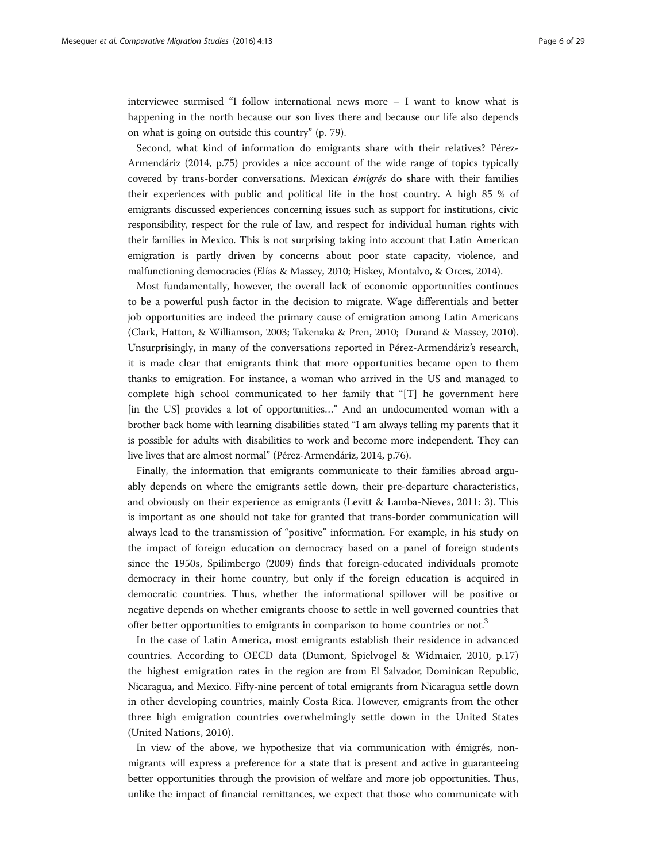interviewee surmised "I follow international news more – I want to know what is happening in the north because our son lives there and because our life also depends on what is going on outside this country" (p. 79).

Second, what kind of information do emigrants share with their relatives? Pérez-Armendáriz [\(2014](#page-27-0), p.75) provides a nice account of the wide range of topics typically covered by trans-border conversations. Mexican émigrés do share with their families their experiences with public and political life in the host country. A high 85 % of emigrants discussed experiences concerning issues such as support for institutions, civic responsibility, respect for the rule of law, and respect for individual human rights with their families in Mexico. This is not surprising taking into account that Latin American emigration is partly driven by concerns about poor state capacity, violence, and malfunctioning democracies (Elías & Massey, [2010;](#page-27-0) Hiskey, Montalvo, & Orces, [2014\)](#page-27-0).

Most fundamentally, however, the overall lack of economic opportunities continues to be a powerful push factor in the decision to migrate. Wage differentials and better job opportunities are indeed the primary cause of emigration among Latin Americans (Clark, Hatton, & Williamson, [2003](#page-27-0); Takenaka & Pren, [2010](#page-28-0); Durand & Massey, [2010](#page-27-0)). Unsurprisingly, in many of the conversations reported in Pérez-Armendáriz's research, it is made clear that emigrants think that more opportunities became open to them thanks to emigration. For instance, a woman who arrived in the US and managed to complete high school communicated to her family that "[T] he government here [in the US] provides a lot of opportunities…" And an undocumented woman with a brother back home with learning disabilities stated "I am always telling my parents that it is possible for adults with disabilities to work and become more independent. They can live lives that are almost normal" (Pérez-Armendáriz, [2014,](#page-27-0) p.76).

Finally, the information that emigrants communicate to their families abroad arguably depends on where the emigrants settle down, their pre-departure characteristics, and obviously on their experience as emigrants (Levitt & Lamba-Nieves, [2011:](#page-27-0) 3). This is important as one should not take for granted that trans-border communication will always lead to the transmission of "positive" information. For example, in his study on the impact of foreign education on democracy based on a panel of foreign students since the 1950s, Spilimbergo ([2009](#page-28-0)) finds that foreign-educated individuals promote democracy in their home country, but only if the foreign education is acquired in democratic countries. Thus, whether the informational spillover will be positive or negative depends on whether emigrants choose to settle in well governed countries that offer better opportunities to emigrants in comparison to home countries or not.<sup>3</sup>

In the case of Latin America, most emigrants establish their residence in advanced countries. According to OECD data (Dumont, Spielvogel & Widmaier, [2010](#page-27-0), p.17) the highest emigration rates in the region are from El Salvador, Dominican Republic, Nicaragua, and Mexico. Fifty-nine percent of total emigrants from Nicaragua settle down in other developing countries, mainly Costa Rica. However, emigrants from the other three high emigration countries overwhelmingly settle down in the United States (United Nations, [2010\)](#page-28-0).

In view of the above, we hypothesize that via communication with émigrés, nonmigrants will express a preference for a state that is present and active in guaranteeing better opportunities through the provision of welfare and more job opportunities. Thus, unlike the impact of financial remittances, we expect that those who communicate with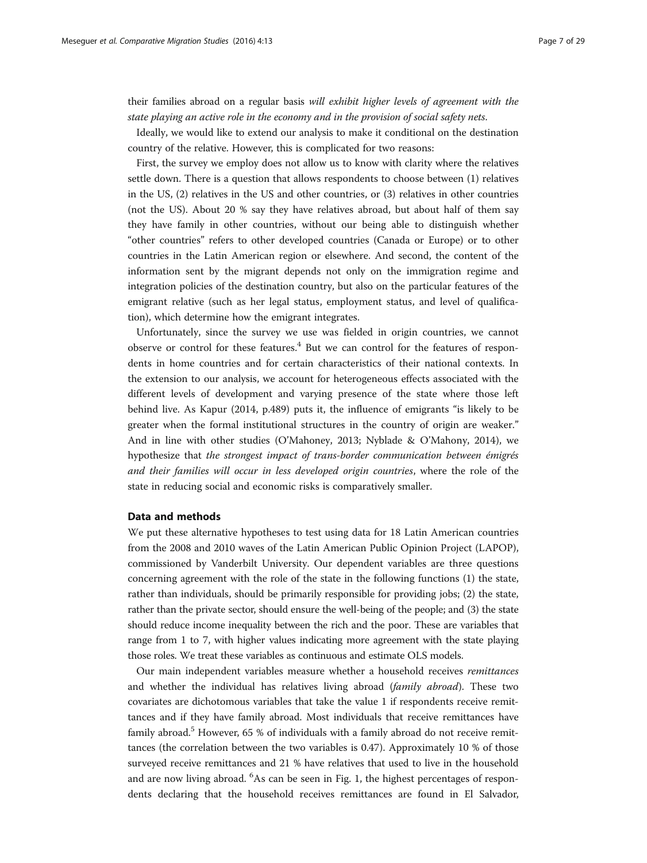<span id="page-6-0"></span>their families abroad on a regular basis will exhibit higher levels of agreement with the state playing an active role in the economy and in the provision of social safety nets.

Ideally, we would like to extend our analysis to make it conditional on the destination country of the relative. However, this is complicated for two reasons:

First, the survey we employ does not allow us to know with clarity where the relatives settle down. There is a question that allows respondents to choose between (1) relatives in the US, (2) relatives in the US and other countries, or (3) relatives in other countries (not the US). About 20 % say they have relatives abroad, but about half of them say they have family in other countries, without our being able to distinguish whether "other countries" refers to other developed countries (Canada or Europe) or to other countries in the Latin American region or elsewhere. And second, the content of the information sent by the migrant depends not only on the immigration regime and integration policies of the destination country, but also on the particular features of the emigrant relative (such as her legal status, employment status, and level of qualification), which determine how the emigrant integrates.

Unfortunately, since the survey we use was fielded in origin countries, we cannot observe or control for these features. $4$  But we can control for the features of respondents in home countries and for certain characteristics of their national contexts. In the extension to our analysis, we account for heterogeneous effects associated with the different levels of development and varying presence of the state where those left behind live. As Kapur ([2014,](#page-27-0) p.489) puts it, the influence of emigrants "is likely to be greater when the formal institutional structures in the country of origin are weaker." And in line with other studies (O'Mahoney, [2013](#page-27-0); Nyblade & O'Mahony, [2014\)](#page-27-0), we hypothesize that the strongest impact of trans-border communication between émigrés and their families will occur in less developed origin countries, where the role of the state in reducing social and economic risks is comparatively smaller.

#### Data and methods

We put these alternative hypotheses to test using data for 18 Latin American countries from the 2008 and 2010 waves of the Latin American Public Opinion Project (LAPOP), commissioned by Vanderbilt University. Our dependent variables are three questions concerning agreement with the role of the state in the following functions (1) the state, rather than individuals, should be primarily responsible for providing jobs; (2) the state, rather than the private sector, should ensure the well-being of the people; and (3) the state should reduce income inequality between the rich and the poor. These are variables that range from 1 to 7, with higher values indicating more agreement with the state playing those roles. We treat these variables as continuous and estimate OLS models.

Our main independent variables measure whether a household receives remittances and whether the individual has relatives living abroad *(family abroad)*. These two covariates are dichotomous variables that take the value 1 if respondents receive remittances and if they have family abroad. Most individuals that receive remittances have family abroad.<sup>5</sup> However, 65 % of individuals with a family abroad do not receive remittances (the correlation between the two variables is 0.47). Approximately 10 % of those surveyed receive remittances and 21 % have relatives that used to live in the household and are now living abroad. <sup>6</sup>As can be seen in Fig. [1](#page-7-0), the highest percentages of respondents declaring that the household receives remittances are found in El Salvador,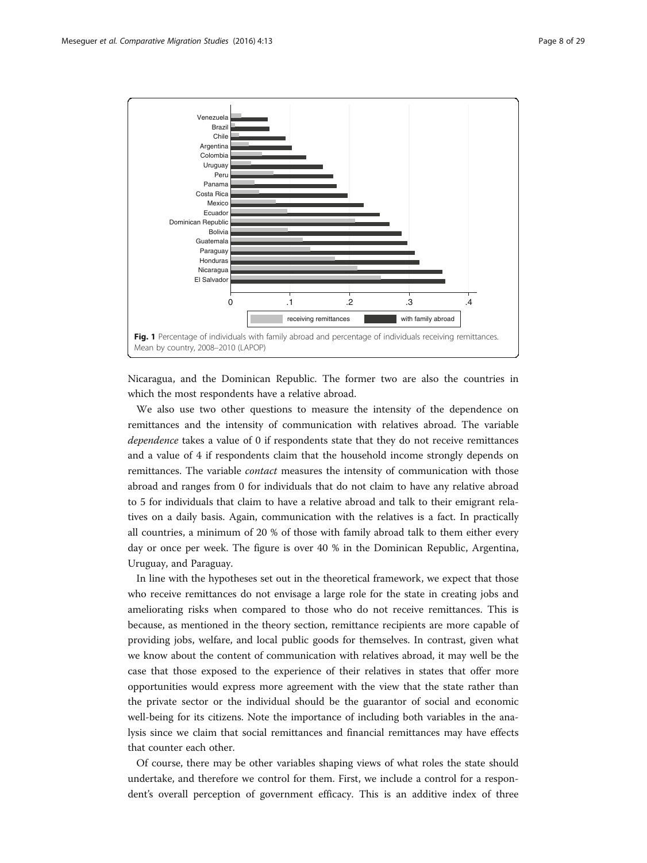<span id="page-7-0"></span>

Nicaragua, and the Dominican Republic. The former two are also the countries in which the most respondents have a relative abroad.

We also use two other questions to measure the intensity of the dependence on remittances and the intensity of communication with relatives abroad. The variable dependence takes a value of 0 if respondents state that they do not receive remittances and a value of 4 if respondents claim that the household income strongly depends on remittances. The variable contact measures the intensity of communication with those abroad and ranges from 0 for individuals that do not claim to have any relative abroad to 5 for individuals that claim to have a relative abroad and talk to their emigrant relatives on a daily basis. Again, communication with the relatives is a fact. In practically all countries, a minimum of 20 % of those with family abroad talk to them either every day or once per week. The figure is over 40 % in the Dominican Republic, Argentina, Uruguay, and Paraguay.

In line with the hypotheses set out in the theoretical framework, we expect that those who receive remittances do not envisage a large role for the state in creating jobs and ameliorating risks when compared to those who do not receive remittances. This is because, as mentioned in the theory section, remittance recipients are more capable of providing jobs, welfare, and local public goods for themselves. In contrast, given what we know about the content of communication with relatives abroad, it may well be the case that those exposed to the experience of their relatives in states that offer more opportunities would express more agreement with the view that the state rather than the private sector or the individual should be the guarantor of social and economic well-being for its citizens. Note the importance of including both variables in the analysis since we claim that social remittances and financial remittances may have effects that counter each other.

Of course, there may be other variables shaping views of what roles the state should undertake, and therefore we control for them. First, we include a control for a respondent's overall perception of government efficacy. This is an additive index of three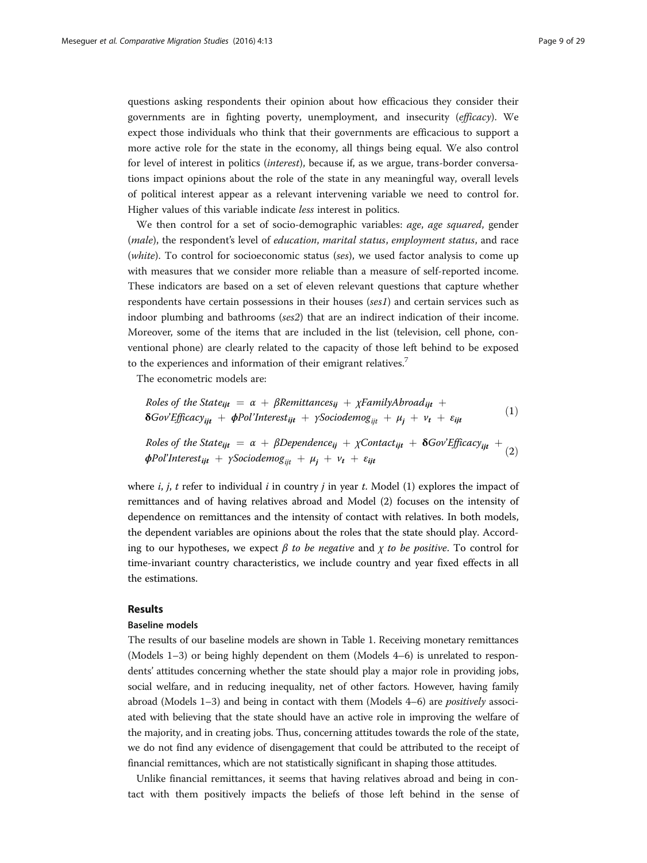<span id="page-8-0"></span>questions asking respondents their opinion about how efficacious they consider their governments are in fighting poverty, unemployment, and insecurity (efficacy). We expect those individuals who think that their governments are efficacious to support a more active role for the state in the economy, all things being equal. We also control for level of interest in politics *(interest)*, because if, as we argue, trans-border conversations impact opinions about the role of the state in any meaningful way, overall levels of political interest appear as a relevant intervening variable we need to control for. Higher values of this variable indicate less interest in politics.

We then control for a set of socio-demographic variables: age, age squared, gender (*male*), the respondent's level of *education, marital status, employment status*, and race (white). To control for socioeconomic status (ses), we used factor analysis to come up with measures that we consider more reliable than a measure of self-reported income. These indicators are based on a set of eleven relevant questions that capture whether respondents have certain possessions in their houses (ses1) and certain services such as indoor plumbing and bathrooms (ses2) that are an indirect indication of their income. Moreover, some of the items that are included in the list (television, cell phone, conventional phone) are clearly related to the capacity of those left behind to be exposed to the experiences and information of their emigrant relatives.<sup>7</sup>

The econometric models are:

*Robes of the State<sub>ijt</sub>* = 
$$
\alpha + \beta
$$
*Remitances<sub>ij</sub>* +  $\chi$ *FamilyAbroad<sub>ijt</sub>* +  
\n $\delta$ *Gov'Efficacy<sub>ijt</sub>* +  $\phi$ *Pol'Interest<sub>ijt</sub>* +  $\gamma$ *Sociodemog<sub>ijt</sub>* +  $\mu_j + \nu_t + \varepsilon_{ijt}$   
\n*Robes of the State<sub>ijt</sub>* =  $\alpha + \beta$ *Dependence<sub>ij</sub>* +  $\chi$ *Contact<sub>ijt</sub>* +  $\delta$ *Gov'Efficacy<sub>ijt</sub>* + (2)  
\n $\phi$ *Pol'Interest<sub>ijt</sub>* +  $\gamma$ *Sociodemog<sub>ijt</sub>* +  $\mu_j + \nu_t + \varepsilon_{ijt}$ 

where *i*, *j*, *t* refer to individual *i* in country *j* in year *t*. Model (1) explores the impact of remittances and of having relatives abroad and Model (2) focuses on the intensity of dependence on remittances and the intensity of contact with relatives. In both models, the dependent variables are opinions about the roles that the state should play. According to our hypotheses, we expect  $\beta$  to be negative and  $\chi$  to be positive. To control for time-invariant country characteristics, we include country and year fixed effects in all the estimations.

#### Results

## Baseline models

The results of our baseline models are shown in Table [1.](#page-9-0) Receiving monetary remittances (Models 1–3) or being highly dependent on them (Models 4–6) is unrelated to respondents' attitudes concerning whether the state should play a major role in providing jobs, social welfare, and in reducing inequality, net of other factors. However, having family abroad (Models 1–3) and being in contact with them (Models 4–6) are positively associated with believing that the state should have an active role in improving the welfare of the majority, and in creating jobs. Thus, concerning attitudes towards the role of the state, we do not find any evidence of disengagement that could be attributed to the receipt of financial remittances, which are not statistically significant in shaping those attitudes.

Unlike financial remittances, it seems that having relatives abroad and being in contact with them positively impacts the beliefs of those left behind in the sense of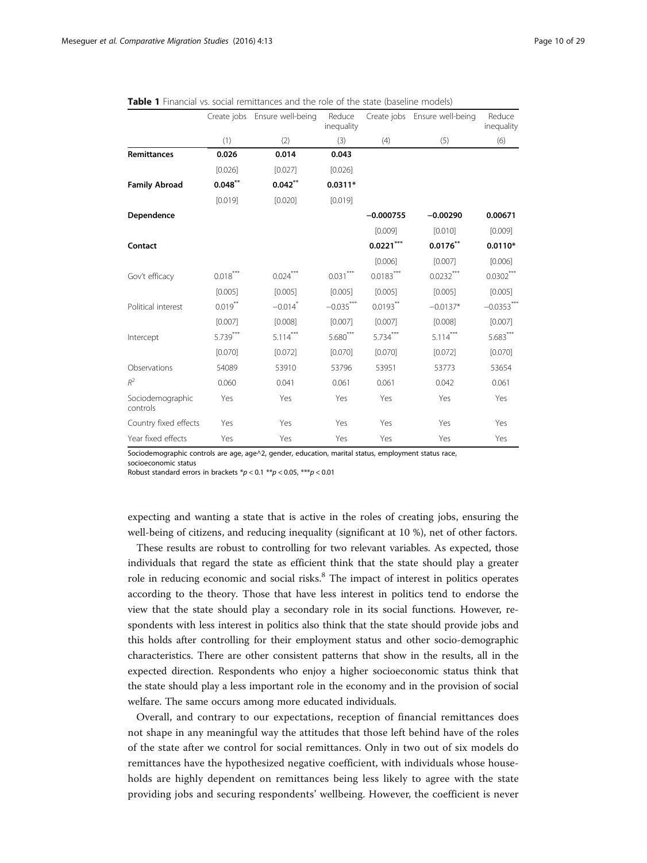|                              |                       | Create jobs Ensure well-being | Reduce<br>inequality |             | Create jobs Ensure well-being | Reduce<br>inequality |
|------------------------------|-----------------------|-------------------------------|----------------------|-------------|-------------------------------|----------------------|
|                              | (1)                   | (2)                           | (3)                  | (4)         | (5)                           | (6)                  |
| <b>Remittances</b>           | 0.026                 | 0.014                         | 0.043                |             |                               |                      |
|                              | [0.026]               | [0.027]                       | [0.026]              |             |                               |                      |
| <b>Family Abroad</b>         | $\textbf{0.048}^{**}$ | $0.042***$                    | $0.0311*$            |             |                               |                      |
|                              | [0.019]               | [0.020]                       | [0.019]              |             |                               |                      |
| Dependence                   |                       |                               |                      | $-0.000755$ | $-0.00290$                    | 0.00671              |
|                              |                       |                               |                      | [0.009]     | [0.010]                       | [0.009]              |
| Contact                      |                       |                               |                      | $0.0221***$ | $0.0176***$                   | $0.0110*$            |
|                              |                       |                               |                      | [0.006]     | [0.007]                       | [0.006]              |
| Gov't efficacy               | $0.018***$            | $0.024***$                    | $0.031***$           | $0.0183***$ | $0.0232***$                   | $0.0302***$          |
|                              | [0.005]               | [0.005]                       | [0.005]              | [0.005]     | [0.005]                       | [0.005]              |
| Political interest           | $0.019***$            | $-0.014$ <sup>*</sup>         | $-0.035***$          | $0.0193***$ | $-0.0137*$                    | $-0.0353***$         |
|                              | [0.007]               | [0.008]                       | [0.007]              | [0.007]     | [0.008]                       | [0.007]              |
| Intercept                    | $5.739***$            | $5.114***$                    | $5.680***$           | $5.734***$  | $5.114***$                    | $5.683***$           |
|                              | [0.070]               | [0.072]                       | [0.070]              | [0.070]     | [0.072]                       | [0.070]              |
| Observations                 | 54089                 | 53910                         | 53796                | 53951       | 53773                         | 53654                |
| $R^2$                        | 0.060                 | 0.041                         | 0.061                | 0.061       | 0.042                         | 0.061                |
| Sociodemographic<br>controls | Yes                   | Yes                           | Yes                  | Yes         | Yes                           | Yes                  |
| Country fixed effects        | Yes                   | Yes                           | Yes                  | Yes         | Yes                           | Yes                  |
| Year fixed effects           | Yes                   | Yes                           | Yes                  | Yes         | Yes                           | Yes                  |

<span id="page-9-0"></span>**Table 1** Financial vs. social remittances and the role of the state (baseline models)

Sociodemographic controls are age, age^2, gender, education, marital status, employment status race,

socioeconomic status

Robust standard errors in brackets  $p < 0.1$  \*\*p < 0.05, \*\*\*p < 0.01

expecting and wanting a state that is active in the roles of creating jobs, ensuring the well-being of citizens, and reducing inequality (significant at 10 %), net of other factors.

These results are robust to controlling for two relevant variables. As expected, those individuals that regard the state as efficient think that the state should play a greater role in reducing economic and social risks.<sup>8</sup> The impact of interest in politics operates according to the theory. Those that have less interest in politics tend to endorse the view that the state should play a secondary role in its social functions. However, respondents with less interest in politics also think that the state should provide jobs and this holds after controlling for their employment status and other socio-demographic characteristics. There are other consistent patterns that show in the results, all in the expected direction. Respondents who enjoy a higher socioeconomic status think that the state should play a less important role in the economy and in the provision of social welfare. The same occurs among more educated individuals.

Overall, and contrary to our expectations, reception of financial remittances does not shape in any meaningful way the attitudes that those left behind have of the roles of the state after we control for social remittances. Only in two out of six models do remittances have the hypothesized negative coefficient, with individuals whose households are highly dependent on remittances being less likely to agree with the state providing jobs and securing respondents' wellbeing. However, the coefficient is never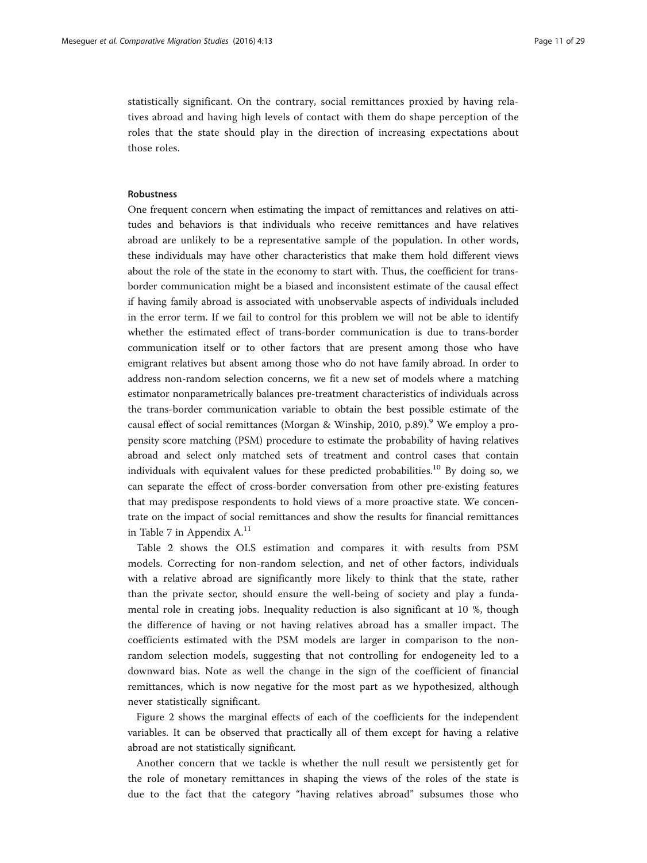statistically significant. On the contrary, social remittances proxied by having relatives abroad and having high levels of contact with them do shape perception of the roles that the state should play in the direction of increasing expectations about those roles.

## **Robustness**

One frequent concern when estimating the impact of remittances and relatives on attitudes and behaviors is that individuals who receive remittances and have relatives abroad are unlikely to be a representative sample of the population. In other words, these individuals may have other characteristics that make them hold different views about the role of the state in the economy to start with. Thus, the coefficient for transborder communication might be a biased and inconsistent estimate of the causal effect if having family abroad is associated with unobservable aspects of individuals included in the error term. If we fail to control for this problem we will not be able to identify whether the estimated effect of trans-border communication is due to trans-border communication itself or to other factors that are present among those who have emigrant relatives but absent among those who do not have family abroad. In order to address non-random selection concerns, we fit a new set of models where a matching estimator nonparametrically balances pre-treatment characteristics of individuals across the trans-border communication variable to obtain the best possible estimate of the causal effect of social remittances (Morgan & Winship, [2010](#page-27-0), p.89). We employ a propensity score matching (PSM) procedure to estimate the probability of having relatives abroad and select only matched sets of treatment and control cases that contain individuals with equivalent values for these predicted probabilities.<sup>10</sup> By doing so, we can separate the effect of cross-border conversation from other pre-existing features that may predispose respondents to hold views of a more proactive state. We concentrate on the impact of social remittances and show the results for financial remittances in Table 7 in Appendix  $A<sup>11</sup>$ 

Table [2](#page-11-0) shows the OLS estimation and compares it with results from PSM models. Correcting for non-random selection, and net of other factors, individuals with a relative abroad are significantly more likely to think that the state, rather than the private sector, should ensure the well-being of society and play a fundamental role in creating jobs. Inequality reduction is also significant at 10 %, though the difference of having or not having relatives abroad has a smaller impact. The coefficients estimated with the PSM models are larger in comparison to the nonrandom selection models, suggesting that not controlling for endogeneity led to a downward bias. Note as well the change in the sign of the coefficient of financial remittances, which is now negative for the most part as we hypothesized, although never statistically significant.

Figure [2](#page-11-0) shows the marginal effects of each of the coefficients for the independent variables. It can be observed that practically all of them except for having a relative abroad are not statistically significant.

Another concern that we tackle is whether the null result we persistently get for the role of monetary remittances in shaping the views of the roles of the state is due to the fact that the category "having relatives abroad" subsumes those who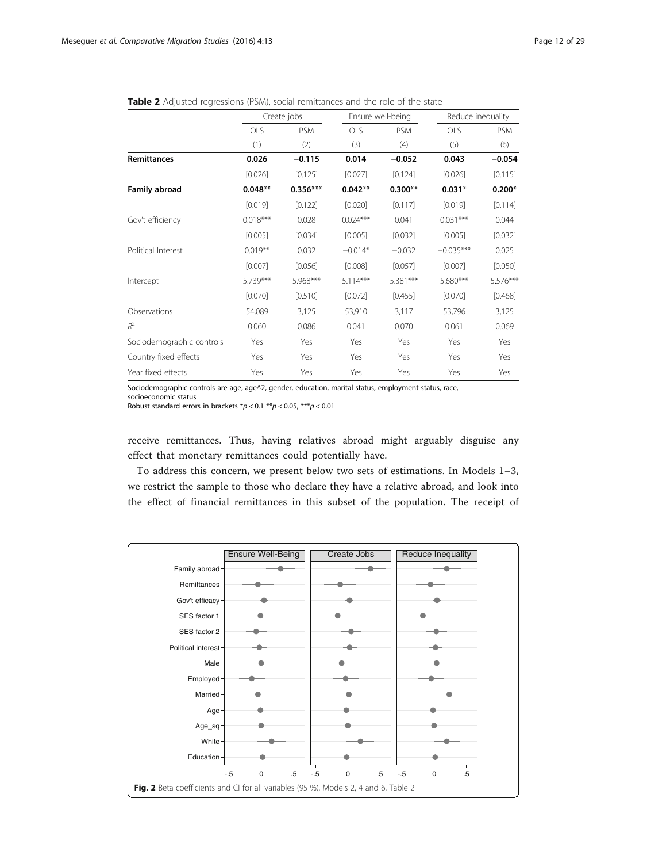|                           | Create jobs |            |            | Ensure well-being | Reduce inequality |            |
|---------------------------|-------------|------------|------------|-------------------|-------------------|------------|
|                           | <b>OLS</b>  | <b>PSM</b> | OLS        | <b>PSM</b>        | OLS               | <b>PSM</b> |
|                           | (1)         | (2)        | (3)        | (4)               | (5)               | (6)        |
| <b>Remittances</b>        | 0.026       | $-0.115$   | 0.014      | $-0.052$          | 0.043             | $-0.054$   |
|                           | [0.026]     | [0.125]    | [0.027]    | [0.124]           | [0.026]           | [0.115]    |
| <b>Family abroad</b>      | $0.048**$   | $0.356***$ | $0.042**$  | $0.300**$         | $0.031*$          | $0.200*$   |
|                           | [0.019]     | [0.122]    | [0.020]    | [0.117]           | [0.019]           | [0.114]    |
| Gov't efficiency          | $0.018***$  | 0.028      | $0.024***$ | 0.041             | $0.031***$        | 0.044      |
|                           | [0.005]     | [0.034]    | [0.005]    | [0.032]           | [0.005]           | [0.032]    |
| Political Interest        | $0.019**$   | 0.032      | $-0.014*$  | $-0.032$          | $-0.035***$       | 0.025      |
|                           | [0.007]     | [0.056]    | [0.008]    | [0.057]           | [0.007]           | [0.050]    |
| Intercept                 | 5.739***    | 5.968***   | $5.114***$ | 5.381***          | 5.680***          | 5.576***   |
|                           | [0.070]     | [0.510]    | [0.072]    | [0.455]           | [0.070]           | [0.468]    |
| Observations              | 54,089      | 3,125      | 53,910     | 3,117             | 53,796            | 3,125      |
| $R^2$                     | 0.060       | 0.086      | 0.041      | 0.070             | 0.061             | 0.069      |
| Sociodemographic controls | Yes         | Yes        | Yes        | Yes               | Yes               | Yes        |
| Country fixed effects     | Yes         | Yes        | Yes        | Yes               | Yes               | Yes        |
| Year fixed effects        | Yes         | Yes        | Yes        | Yes               | Yes               | Yes        |

<span id="page-11-0"></span>Table 2 Adjusted regressions (PSM), social remittances and the role of the state

Sociodemographic controls are age, age^2, gender, education, marital status, employment status, race,

socioeconomic status

Robust standard errors in brackets  $p < 0.1$  \*\* $p < 0.05$ , \*\*\* $p < 0.01$ 

receive remittances. Thus, having relatives abroad might arguably disguise any effect that monetary remittances could potentially have.

To address this concern, we present below two sets of estimations. In Models 1–3, we restrict the sample to those who declare they have a relative abroad, and look into the effect of financial remittances in this subset of the population. The receipt of

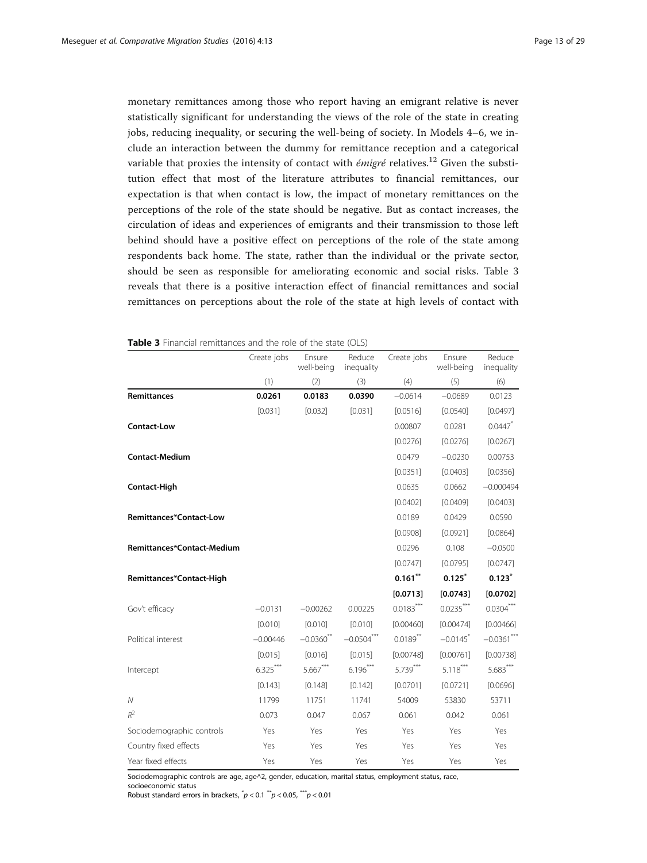monetary remittances among those who report having an emigrant relative is never statistically significant for understanding the views of the role of the state in creating jobs, reducing inequality, or securing the well-being of society. In Models 4–6, we include an interaction between the dummy for remittance reception and a categorical variable that proxies the intensity of contact with *émigré* relatives.<sup>12</sup> Given the substitution effect that most of the literature attributes to financial remittances, our expectation is that when contact is low, the impact of monetary remittances on the perceptions of the role of the state should be negative. But as contact increases, the circulation of ideas and experiences of emigrants and their transmission to those left behind should have a positive effect on perceptions of the role of the state among respondents back home. The state, rather than the individual or the private sector, should be seen as responsible for ameliorating economic and social risks. Table 3 reveals that there is a positive interaction effect of financial remittances and social remittances on perceptions about the role of the state at high levels of contact with

|                            | Create jobs | Ensure<br>well-being    | Reduce<br>inequality | Create jobs            | Ensure<br>well-being   | Reduce<br>inequality |
|----------------------------|-------------|-------------------------|----------------------|------------------------|------------------------|----------------------|
|                            | (1)         | (2)                     | (3)                  | (4)                    | (5)                    | (6)                  |
| <b>Remittances</b>         | 0.0261      | 0.0183                  | 0.0390               | $-0.0614$              | $-0.0689$              | 0.0123               |
|                            | [0.031]     | [0.032]                 | [0.031]              | [0.0516]               | [0.0540]               | [0.0497]             |
| <b>Contact-Low</b>         |             |                         |                      | 0.00807                | 0.0281                 | 0.0447               |
|                            |             |                         |                      | [0.0276]               | [0.0276]               | [0.0267]             |
| Contact-Medium             |             |                         |                      | 0.0479                 | $-0.0230$              | 0.00753              |
|                            |             |                         |                      | [0.0351]               | [0.0403]               | [0.0356]             |
| Contact-High               |             |                         |                      | 0.0635                 | 0.0662                 | $-0.000494$          |
|                            |             |                         |                      | [0.0402]               | [0.0409]               | [0.0403]             |
| Remittances*Contact-Low    |             |                         |                      | 0.0189                 | 0.0429                 | 0.0590               |
|                            |             |                         |                      | [0.0908]               | [0.0921]               | [0.0864]             |
| Remittances*Contact-Medium |             |                         |                      | 0.0296                 | 0.108                  | $-0.0500$            |
|                            |             |                         |                      | [0.0747]               | [0.0795]               | [0.0747]             |
| Remittances*Contact-High   |             |                         |                      | $0.161$ **             | $0.125^{*}$            | $0.123^{*}$          |
|                            |             |                         |                      | [0.0713]               | [0.0743]               | [0.0702]             |
| Gov't efficacy             | $-0.0131$   | $-0.00262$              | 0.00225              | $0.0183***$            | $0.0235***$            | $0.0304***$          |
|                            | [0.010]     | [0.010]                 | [0.010]              | [0.00460]              | [0.00474]              | [0.00466]            |
| Political interest         | $-0.00446$  | $-0.0360$ <sup>**</sup> | $-0.0504***$         | $0.0189$ <sup>**</sup> | $-0.0145$ <sup>*</sup> | $-0.0361$ ***        |
|                            | [0.015]     | [0.016]                 | [0.015]              | [0.00748]              | [0.00761]              | [0.00738]            |
| Intercept                  | $6.325***$  | $5.667***$              | $6.196***$           | $5.739***$             | $5.118***$             | $5.683***$           |
|                            | [0.143]     | [0.148]                 | [0.142]              | [0.0701]               | [0.0721]               | [0.0696]             |
| $\mathcal N$               | 11799       | 11751                   | 11741                | 54009                  | 53830                  | 53711                |
| $R^2$                      | 0.073       | 0.047                   | 0.067                | 0.061                  | 0.042                  | 0.061                |
| Sociodemographic controls  | Yes         | Yes                     | Yes                  | Yes                    | Yes                    | Yes                  |
| Country fixed effects      | Yes         | Yes                     | Yes                  | Yes                    | Yes                    | Yes                  |
| Year fixed effects         | Yes         | Yes                     | Yes                  | Yes                    | Yes                    | Yes                  |

**Table 3** Financial remittances and the role of the state (OLS)

Sociodemographic controls are age, age^2, gender, education, marital status, employment status, race, socioeconomic status

Robust standard errors in brackets,  $\bar{p}$  < 0.1  $\bar{p}$  < 0.05,  $\bar{p}$  < 0.01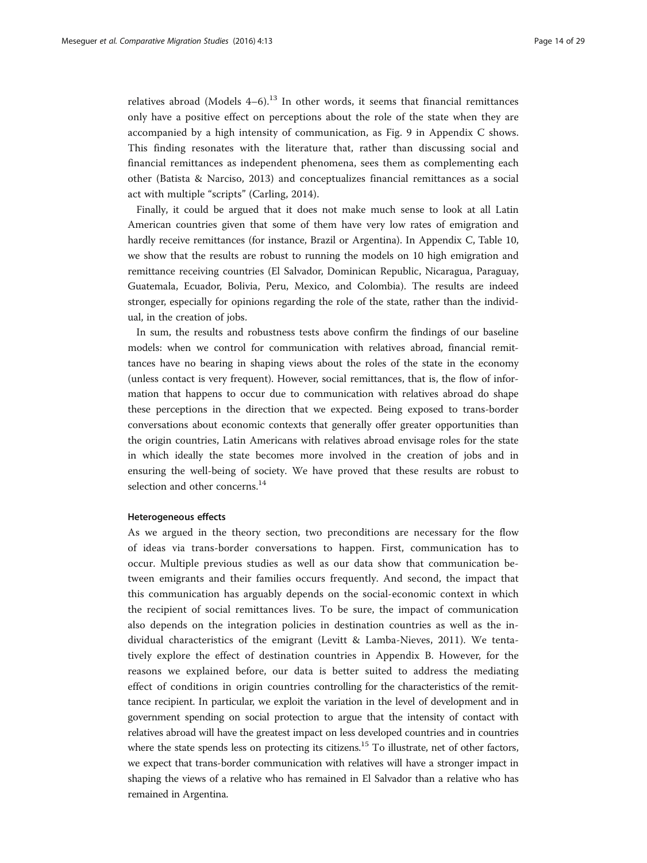relatives abroad (Models  $4-6$ ).<sup>13</sup> In other words, it seems that financial remittances only have a positive effect on perceptions about the role of the state when they are accompanied by a high intensity of communication, as Fig. 9 in [Appendix C](#page-24-0) shows. This finding resonates with the literature that, rather than discussing social and financial remittances as independent phenomena, sees them as complementing each other (Batista & Narciso, [2013](#page-26-0)) and conceptualizes financial remittances as a social act with multiple "scripts" (Carling, [2014](#page-26-0)).

Finally, it could be argued that it does not make much sense to look at all Latin American countries given that some of them have very low rates of emigration and hardly receive remittances (for instance, Brazil or Argentina). In [Appendix C](#page-24-0), Table 10, we show that the results are robust to running the models on 10 high emigration and remittance receiving countries (El Salvador, Dominican Republic, Nicaragua, Paraguay, Guatemala, Ecuador, Bolivia, Peru, Mexico, and Colombia). The results are indeed stronger, especially for opinions regarding the role of the state, rather than the individual, in the creation of jobs.

In sum, the results and robustness tests above confirm the findings of our baseline models: when we control for communication with relatives abroad, financial remittances have no bearing in shaping views about the roles of the state in the economy (unless contact is very frequent). However, social remittances, that is, the flow of information that happens to occur due to communication with relatives abroad do shape these perceptions in the direction that we expected. Being exposed to trans-border conversations about economic contexts that generally offer greater opportunities than the origin countries, Latin Americans with relatives abroad envisage roles for the state in which ideally the state becomes more involved in the creation of jobs and in ensuring the well-being of society. We have proved that these results are robust to selection and other concerns.<sup>14</sup>

#### Heterogeneous effects

As we argued in the theory section, two preconditions are necessary for the flow of ideas via trans-border conversations to happen. First, communication has to occur. Multiple previous studies as well as our data show that communication between emigrants and their families occurs frequently. And second, the impact that this communication has arguably depends on the social-economic context in which the recipient of social remittances lives. To be sure, the impact of communication also depends on the integration policies in destination countries as well as the individual characteristics of the emigrant (Levitt & Lamba-Nieves, [2011](#page-27-0)). We tentatively explore the effect of destination countries in [Appendix B](#page-21-0). However, for the reasons we explained before, our data is better suited to address the mediating effect of conditions in origin countries controlling for the characteristics of the remittance recipient. In particular, we exploit the variation in the level of development and in government spending on social protection to argue that the intensity of contact with relatives abroad will have the greatest impact on less developed countries and in countries where the state spends less on protecting its citizens.<sup>15</sup> To illustrate, net of other factors, we expect that trans-border communication with relatives will have a stronger impact in shaping the views of a relative who has remained in El Salvador than a relative who has remained in Argentina.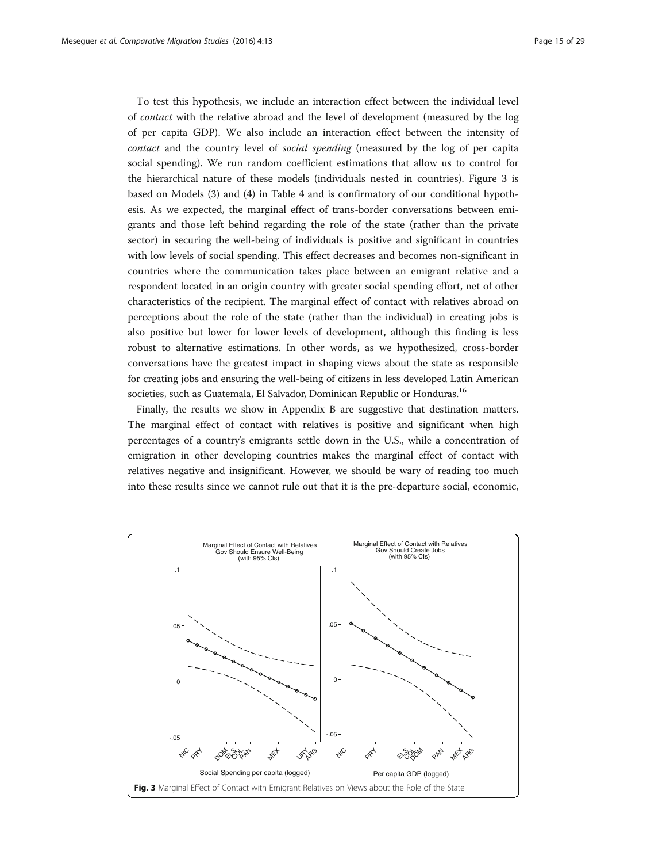To test this hypothesis, we include an interaction effect between the individual level of contact with the relative abroad and the level of development (measured by the log of per capita GDP). We also include an interaction effect between the intensity of contact and the country level of social spending (measured by the log of per capita social spending). We run random coefficient estimations that allow us to control for the hierarchical nature of these models (individuals nested in countries). Figure 3 is based on Models (3) and (4) in Table [4](#page-15-0) and is confirmatory of our conditional hypothesis. As we expected, the marginal effect of trans-border conversations between emigrants and those left behind regarding the role of the state (rather than the private sector) in securing the well-being of individuals is positive and significant in countries with low levels of social spending. This effect decreases and becomes non-significant in countries where the communication takes place between an emigrant relative and a respondent located in an origin country with greater social spending effort, net of other characteristics of the recipient. The marginal effect of contact with relatives abroad on perceptions about the role of the state (rather than the individual) in creating jobs is also positive but lower for lower levels of development, although this finding is less robust to alternative estimations. In other words, as we hypothesized, cross-border conversations have the greatest impact in shaping views about the state as responsible for creating jobs and ensuring the well-being of citizens in less developed Latin American societies, such as Guatemala, El Salvador, Dominican Republic or Honduras.<sup>16</sup>

Finally, the results we show in [Appendix B](#page-21-0) are suggestive that destination matters. The marginal effect of contact with relatives is positive and significant when high percentages of a country's emigrants settle down in the U.S., while a concentration of emigration in other developing countries makes the marginal effect of contact with relatives negative and insignificant. However, we should be wary of reading too much into these results since we cannot rule out that it is the pre-departure social, economic,

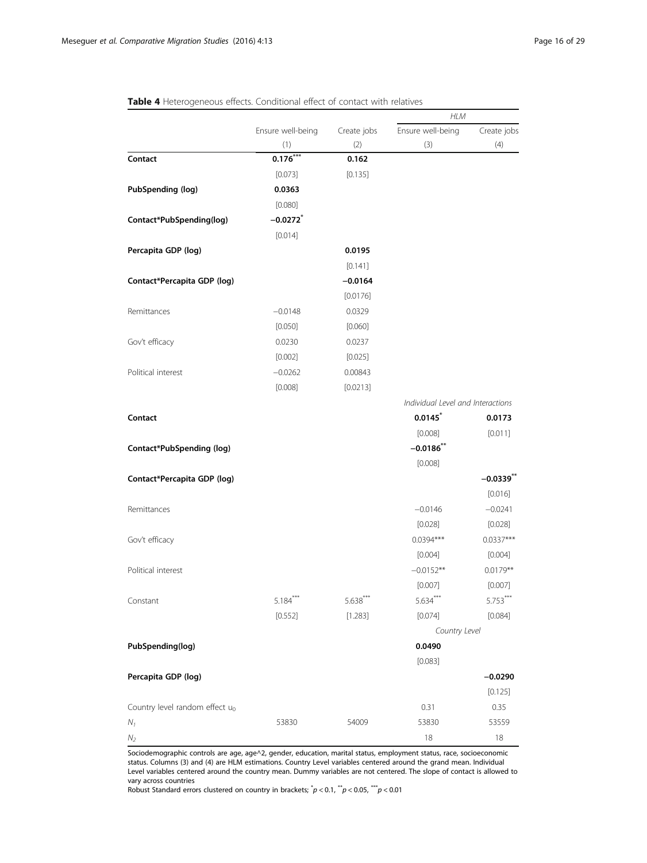|                                |                   |                | <b>HLM</b>                        |                         |
|--------------------------------|-------------------|----------------|-----------------------------------|-------------------------|
|                                | Ensure well-being | Create jobs    | Ensure well-being                 | Create jobs             |
|                                | (1)               | (2)            | (3)                               | (4)                     |
| Contact                        | 0.176             | 0.162          |                                   |                         |
|                                | [0.073]           | [0.135]        |                                   |                         |
| PubSpending (log)              | 0.0363            |                |                                   |                         |
|                                | [0.080]           |                |                                   |                         |
| Contact*PubSpending(log)       | $-0.0272$ *       |                |                                   |                         |
|                                | [0.014]           |                |                                   |                         |
| Percapita GDP (log)            |                   | 0.0195         |                                   |                         |
|                                |                   | [0.141]        |                                   |                         |
| Contact*Percapita GDP (log)    |                   | $-0.0164$      |                                   |                         |
|                                |                   | [0.0176]       |                                   |                         |
| Remittances                    | $-0.0148$         | 0.0329         |                                   |                         |
|                                | [0.050]           | [0.060]        |                                   |                         |
| Gov't efficacy                 | 0.0230            | 0.0237         |                                   |                         |
|                                | [0.002]           | [0.025]        |                                   |                         |
| Political interest             | $-0.0262$         | 0.00843        |                                   |                         |
|                                | [0.008]           | [0.0213]       |                                   |                         |
|                                |                   |                | Individual Level and Interactions |                         |
| Contact                        |                   |                | 0.0145                            | 0.0173                  |
|                                |                   |                | [0.008]                           | [0.011]                 |
| Contact*PubSpending (log)      |                   |                | $-0.0186$ **                      |                         |
|                                |                   |                | [0.008]                           |                         |
| Contact*Percapita GDP (log)    |                   |                |                                   | $-0.0339$ <sup>**</sup> |
|                                |                   |                |                                   | [0.016]                 |
| Remittances                    |                   |                | $-0.0146$                         | $-0.0241$               |
|                                |                   |                | [0.028]                           | [0.028]                 |
| Gov't efficacy                 |                   |                | $0.0394***$                       | $0.0337***$             |
|                                |                   |                | [0.004]                           | [0.004]                 |
| Political interest             |                   |                | $-0.0152**$                       | $0.0179**$              |
|                                |                   |                | [0.007]                           | [0.007]                 |
| Constant                       | $5.184***$        | $***$<br>5.638 | $5.634***$                        | $5.753***$              |
|                                | [0.552]           | [1.283]        | [0.074]                           | [0.084]                 |
|                                |                   |                | Country Level                     |                         |
| PubSpending(log)               |                   |                | 0.0490                            |                         |
|                                |                   |                | [0.083]                           |                         |
| Percapita GDP (log)            |                   |                |                                   | $-0.0290$               |
|                                |                   |                |                                   | [0.125]                 |
| Country level random effect uo |                   |                | 0.31                              | 0.35                    |
| $N_I$                          | 53830             | 54009          | 53830                             | 53559                   |
| $N_2$                          |                   |                | 18                                | 18                      |
|                                |                   |                |                                   |                         |

# <span id="page-15-0"></span>Table 4 Heterogeneous effects. Conditional effect of contact with relatives

Sociodemographic controls are age, age^2, gender, education, marital status, employment status, race, socioeconomic status. Columns (3) and (4) are HLM estimations. Country Level variables centered around the grand mean. Individual Level variables centered around the country mean. Dummy variables are not centered. The slope of contact is allowed to vary across countries

Robust Standard errors clustered on country in brackets;  $\bar{p}$  < 0.1,  $\bar{p}$  < 0.05,  $\bar{p}$  < 0.01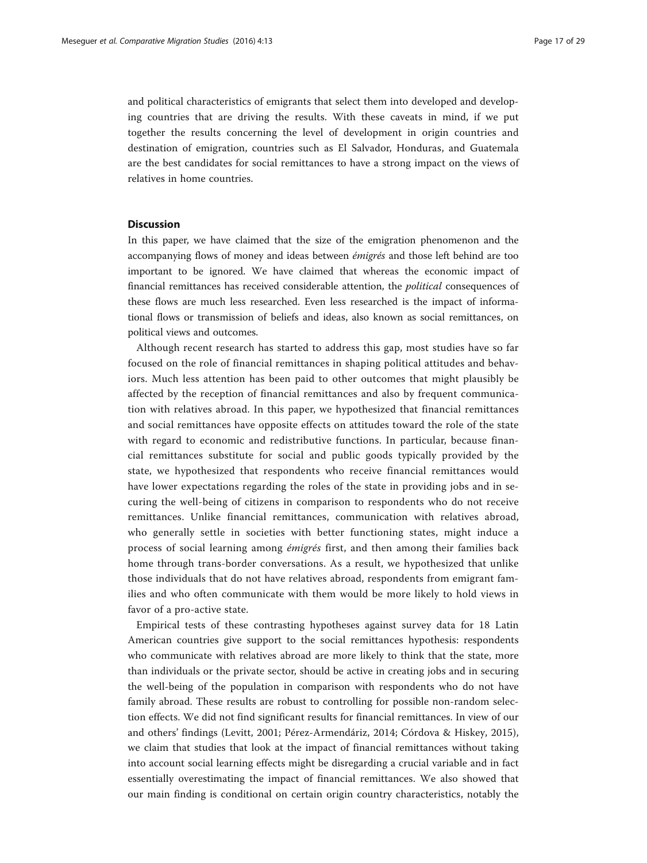and political characteristics of emigrants that select them into developed and developing countries that are driving the results. With these caveats in mind, if we put together the results concerning the level of development in origin countries and destination of emigration, countries such as El Salvador, Honduras, and Guatemala are the best candidates for social remittances to have a strong impact on the views of relatives in home countries.

## **Discussion**

In this paper, we have claimed that the size of the emigration phenomenon and the accompanying flows of money and ideas between émigrés and those left behind are too important to be ignored. We have claimed that whereas the economic impact of financial remittances has received considerable attention, the political consequences of these flows are much less researched. Even less researched is the impact of informational flows or transmission of beliefs and ideas, also known as social remittances, on political views and outcomes.

Although recent research has started to address this gap, most studies have so far focused on the role of financial remittances in shaping political attitudes and behaviors. Much less attention has been paid to other outcomes that might plausibly be affected by the reception of financial remittances and also by frequent communication with relatives abroad. In this paper, we hypothesized that financial remittances and social remittances have opposite effects on attitudes toward the role of the state with regard to economic and redistributive functions. In particular, because financial remittances substitute for social and public goods typically provided by the state, we hypothesized that respondents who receive financial remittances would have lower expectations regarding the roles of the state in providing jobs and in securing the well-being of citizens in comparison to respondents who do not receive remittances. Unlike financial remittances, communication with relatives abroad, who generally settle in societies with better functioning states, might induce a process of social learning among émigrés first, and then among their families back home through trans-border conversations. As a result, we hypothesized that unlike those individuals that do not have relatives abroad, respondents from emigrant families and who often communicate with them would be more likely to hold views in favor of a pro-active state.

Empirical tests of these contrasting hypotheses against survey data for 18 Latin American countries give support to the social remittances hypothesis: respondents who communicate with relatives abroad are more likely to think that the state, more than individuals or the private sector, should be active in creating jobs and in securing the well-being of the population in comparison with respondents who do not have family abroad. These results are robust to controlling for possible non-random selection effects. We did not find significant results for financial remittances. In view of our and others' findings (Levitt, [2001;](#page-27-0) Pérez-Armendáriz, [2014;](#page-27-0) Córdova & Hiskey, [2015](#page-27-0)), we claim that studies that look at the impact of financial remittances without taking into account social learning effects might be disregarding a crucial variable and in fact essentially overestimating the impact of financial remittances. We also showed that our main finding is conditional on certain origin country characteristics, notably the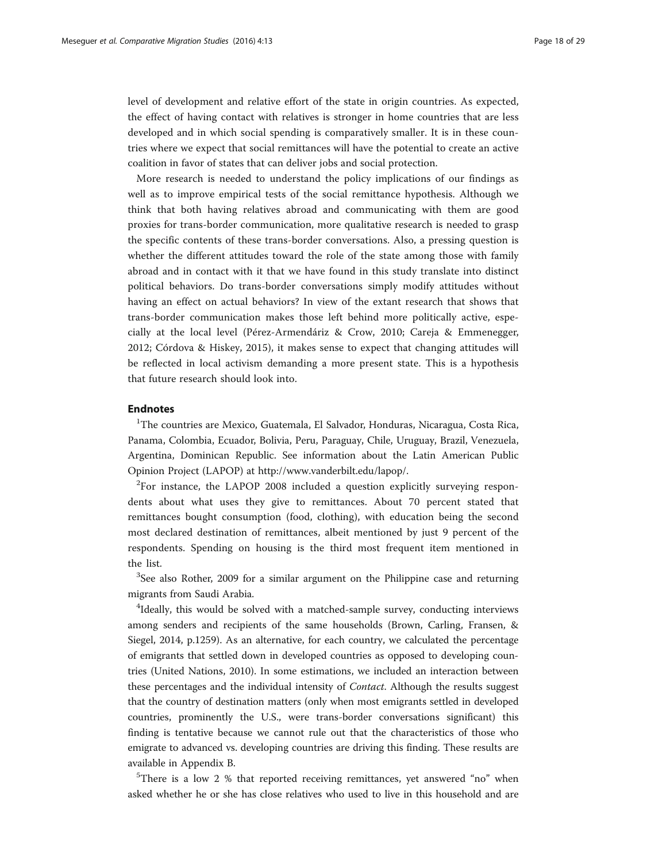level of development and relative effort of the state in origin countries. As expected, the effect of having contact with relatives is stronger in home countries that are less developed and in which social spending is comparatively smaller. It is in these countries where we expect that social remittances will have the potential to create an active coalition in favor of states that can deliver jobs and social protection.

More research is needed to understand the policy implications of our findings as well as to improve empirical tests of the social remittance hypothesis. Although we think that both having relatives abroad and communicating with them are good proxies for trans-border communication, more qualitative research is needed to grasp the specific contents of these trans-border conversations. Also, a pressing question is whether the different attitudes toward the role of the state among those with family abroad and in contact with it that we have found in this study translate into distinct political behaviors. Do trans-border conversations simply modify attitudes without having an effect on actual behaviors? In view of the extant research that shows that trans-border communication makes those left behind more politically active, especially at the local level (Pérez-Armendáriz & Crow, [2010](#page-27-0); Careja & Emmenegger, [2012;](#page-26-0) Córdova & Hiskey, [2015\)](#page-27-0), it makes sense to expect that changing attitudes will be reflected in local activism demanding a more present state. This is a hypothesis that future research should look into.

## Endnotes

<sup>1</sup>The countries are Mexico, Guatemala, El Salvador, Honduras, Nicaragua, Costa Rica, Panama, Colombia, Ecuador, Bolivia, Peru, Paraguay, Chile, Uruguay, Brazil, Venezuela, Argentina, Dominican Republic. See information about the Latin American Public Opinion Project (LAPOP) at<http://www.vanderbilt.edu/lapop/>.

<sup>2</sup>For instance, the LAPOP 2008 included a question explicitly surveying respondents about what uses they give to remittances. About 70 percent stated that remittances bought consumption (food, clothing), with education being the second most declared destination of remittances, albeit mentioned by just 9 percent of the respondents. Spending on housing is the third most frequent item mentioned in the list.

 $3$ See also Rother, [2009](#page-28-0) for a similar argument on the Philippine case and returning migrants from Saudi Arabia.

<sup>4</sup>Ideally, this would be solved with a matched-sample survey, conducting interviews among senders and recipients of the same households (Brown, Carling, Fransen, & Siegel, [2014,](#page-26-0) p.1259). As an alternative, for each country, we calculated the percentage of emigrants that settled down in developed countries as opposed to developing countries (United Nations, [2010\)](#page-28-0). In some estimations, we included an interaction between these percentages and the individual intensity of Contact. Although the results suggest that the country of destination matters (only when most emigrants settled in developed countries, prominently the U.S., were trans-border conversations significant) this finding is tentative because we cannot rule out that the characteristics of those who emigrate to advanced vs. developing countries are driving this finding. These results are available in [Appendix B.](#page-21-0)

<sup>5</sup>There is a low 2 % that reported receiving remittances, yet answered "no" when asked whether he or she has close relatives who used to live in this household and are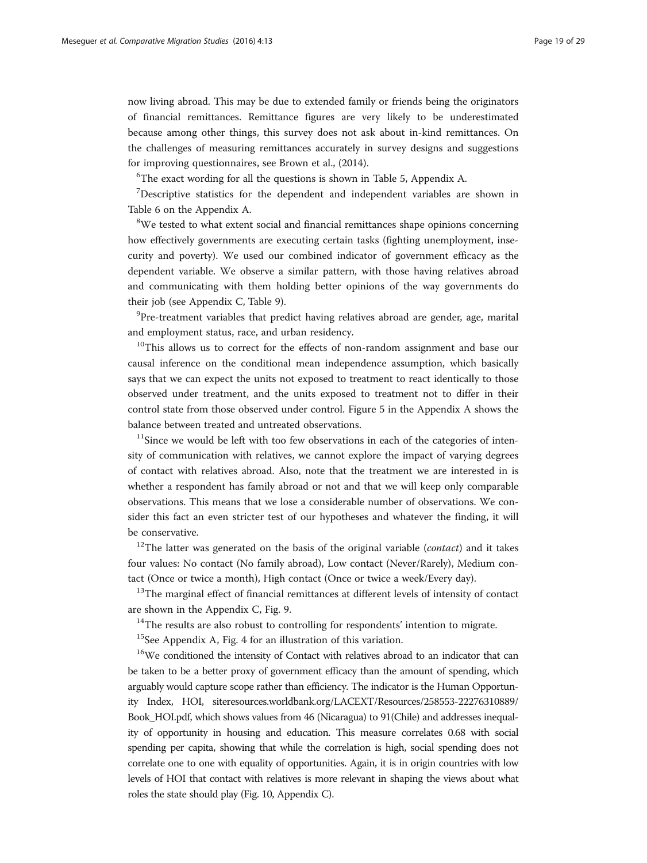now living abroad. This may be due to extended family or friends being the originators of financial remittances. Remittance figures are very likely to be underestimated because among other things, this survey does not ask about in-kind remittances. On the challenges of measuring remittances accurately in survey designs and suggestions for improving questionnaires, see Brown et al., ([2014](#page-26-0)).

<sup>6</sup>The exact wording for all the questions is shown in Table 5, [Appendix A.](#page-19-0)

 $7$ Descriptive statistics for the dependent and independent variables are shown in Table 6 on the [Appendix A](#page-19-0).

 $8$ We tested to what extent social and financial remittances shape opinions concerning how effectively governments are executing certain tasks (fighting unemployment, insecurity and poverty). We used our combined indicator of government efficacy as the dependent variable. We observe a similar pattern, with those having relatives abroad and communicating with them holding better opinions of the way governments do their job (see [Appendix C](#page-24-0), Table 9).

<sup>9</sup>Pre-treatment variables that predict having relatives abroad are gender, age, marital and employment status, race, and urban residency.

 $10$ This allows us to correct for the effects of non-random assignment and base our causal inference on the conditional mean independence assumption, which basically says that we can expect the units not exposed to treatment to react identically to those observed under treatment, and the units exposed to treatment not to differ in their control state from those observed under control. Figure 5 in the [Appendix A](#page-19-0) shows the balance between treated and untreated observations.

 $11$ Since we would be left with too few observations in each of the categories of intensity of communication with relatives, we cannot explore the impact of varying degrees of contact with relatives abroad. Also, note that the treatment we are interested in is whether a respondent has family abroad or not and that we will keep only comparable observations. This means that we lose a considerable number of observations. We consider this fact an even stricter test of our hypotheses and whatever the finding, it will be conservative.

 $12$ The latter was generated on the basis of the original variable (contact) and it takes four values: No contact (No family abroad), Low contact (Never/Rarely), Medium contact (Once or twice a month), High contact (Once or twice a week/Every day).

<sup>13</sup>The marginal effect of financial remittances at different levels of intensity of contact are shown in the [Appendix C,](#page-24-0) Fig. 9.

<sup>14</sup>The results are also robust to controlling for respondents' intention to migrate.

<sup>15</sup>See [Appendix A](#page-19-0), Fig. 4 for an illustration of this variation.

<sup>16</sup>We conditioned the intensity of Contact with relatives abroad to an indicator that can be taken to be a better proxy of government efficacy than the amount of spending, which arguably would capture scope rather than efficiency. The indicator is the Human Opportunity Index, HOI, [siteresources.worldbank.org/LACEXT/Resources/258553-22276310889/](http://siteresources.worldbank.org/LACEXT/Resources/258553-22276310889/Book_HOI.pdf) [Book\\_HOI.pdf,](http://siteresources.worldbank.org/LACEXT/Resources/258553-22276310889/Book_HOI.pdf) which shows values from 46 (Nicaragua) to 91(Chile) and addresses inequality of opportunity in housing and education. This measure correlates 0.68 with social spending per capita, showing that while the correlation is high, social spending does not correlate one to one with equality of opportunities. Again, it is in origin countries with low levels of HOI that contact with relatives is more relevant in shaping the views about what roles the state should play (Fig. 10, [Appendix C\)](#page-24-0).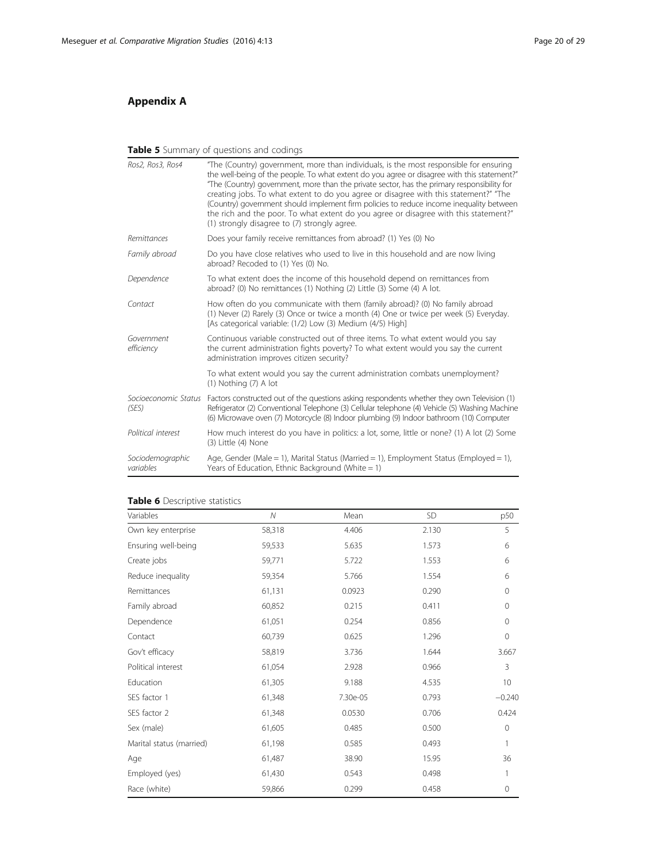# <span id="page-19-0"></span>Appendix A

# Table 5 Summary of questions and codings

| Ros2, Ros3, Ros4              | "The (Country) government, more than individuals, is the most responsible for ensuring<br>the well-being of the people. To what extent do you agree or disagree with this statement?"<br>"The (Country) government, more than the private sector, has the primary responsibility for<br>creating jobs. To what extent to do you agree or disagree with this statement?" "The<br>(Country) government should implement firm policies to reduce income inequality between<br>the rich and the poor. To what extent do you agree or disagree with this statement?"<br>(1) strongly disagree to (7) strongly agree. |
|-------------------------------|-----------------------------------------------------------------------------------------------------------------------------------------------------------------------------------------------------------------------------------------------------------------------------------------------------------------------------------------------------------------------------------------------------------------------------------------------------------------------------------------------------------------------------------------------------------------------------------------------------------------|
| Remittances                   | Does your family receive remittances from abroad? (1) Yes (0) No                                                                                                                                                                                                                                                                                                                                                                                                                                                                                                                                                |
| Family abroad                 | Do you have close relatives who used to live in this household and are now living<br>abroad? Recoded to (1) Yes (0) No.                                                                                                                                                                                                                                                                                                                                                                                                                                                                                         |
| Dependence                    | To what extent does the income of this household depend on remittances from<br>abroad? (0) No remittances (1) Nothing (2) Little (3) Some (4) A lot.                                                                                                                                                                                                                                                                                                                                                                                                                                                            |
| Contact                       | How often do you communicate with them (family abroad)? (0) No family abroad<br>(1) Never (2) Rarely (3) Once or twice a month (4) One or twice per week (5) Everyday.<br>[As categorical variable: (1/2) Low (3) Medium (4/5) High]                                                                                                                                                                                                                                                                                                                                                                            |
| Government<br>efficiency      | Continuous variable constructed out of three items. To what extent would you say<br>the current administration fights poverty? To what extent would you say the current<br>administration improves citizen security?                                                                                                                                                                                                                                                                                                                                                                                            |
|                               | To what extent would you say the current administration combats unemployment?<br>$(1)$ Nothing $(7)$ A lot                                                                                                                                                                                                                                                                                                                                                                                                                                                                                                      |
| Socioeconomic Status<br>(SES) | Factors constructed out of the questions asking respondents whether they own Television (1)<br>Refrigerator (2) Conventional Telephone (3) Cellular telephone (4) Vehicle (5) Washing Machine<br>(6) Microwave oven (7) Motorcycle (8) Indoor plumbing (9) Indoor bathroom (10) Computer                                                                                                                                                                                                                                                                                                                        |
| Political interest            | How much interest do you have in politics: a lot, some, little or none? (1) A lot (2) Some<br>(3) Little (4) None                                                                                                                                                                                                                                                                                                                                                                                                                                                                                               |
| Sociodemographic<br>variables | Age, Gender (Male = 1), Marital Status (Married = 1), Employment Status (Employed = 1),<br>Years of Education, Ethnic Background (White = 1)                                                                                                                                                                                                                                                                                                                                                                                                                                                                    |

# Table 6 Descriptive statistics

| Variables                | ${\cal N}$ | Mean     | SD    | p50          |
|--------------------------|------------|----------|-------|--------------|
| Own key enterprise       | 58,318     | 4.406    | 2.130 | 5            |
| Ensuring well-being      | 59,533     | 5.635    | 1.573 | 6            |
| Create jobs              | 59,771     | 5.722    | 1.553 | 6            |
| Reduce inequality        | 59,354     | 5.766    | 1.554 | 6            |
| Remittances              | 61,131     | 0.0923   | 0.290 | 0            |
| Family abroad            | 60,852     | 0.215    | 0.411 | 0            |
| Dependence               | 61,051     | 0.254    | 0.856 | $\Omega$     |
| Contact                  | 60,739     | 0.625    | 1.296 | $\mathbf{0}$ |
| Gov't efficacy           | 58,819     | 3.736    | 1.644 | 3.667        |
| Political interest       | 61,054     | 2.928    | 0.966 | 3            |
| Education                | 61,305     | 9.188    | 4.535 | 10           |
| SES factor 1             | 61,348     | 7.30e-05 | 0.793 | $-0.240$     |
| SES factor 2             | 61,348     | 0.0530   | 0.706 | 0.424        |
| Sex (male)               | 61,605     | 0.485    | 0.500 | 0            |
| Marital status (married) | 61,198     | 0.585    | 0.493 | 1            |
| Age                      | 61,487     | 38.90    | 15.95 | 36           |
| Employed (yes)           | 61,430     | 0.543    | 0.498 | 1            |
| Race (white)             | 59,866     | 0.299    | 0.458 | 0            |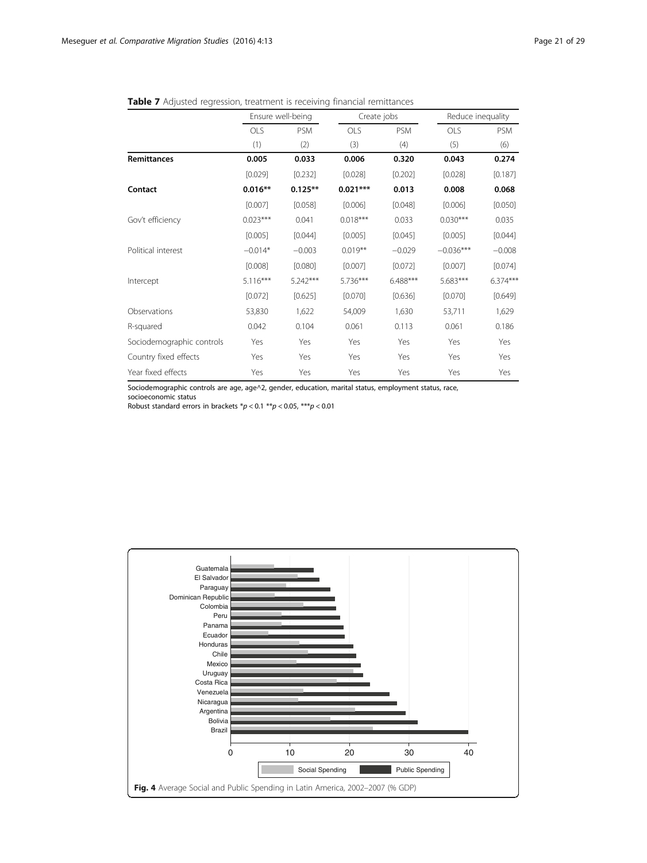|                           |            | Ensure well-being |            | Create jobs |             | Reduce inequality |  |
|---------------------------|------------|-------------------|------------|-------------|-------------|-------------------|--|
|                           | <b>OLS</b> | <b>PSM</b>        | OLS        | <b>PSM</b>  | <b>OLS</b>  | <b>PSM</b>        |  |
|                           | (1)        | (2)               | (3)        | (4)         | (5)         | (6)               |  |
| <b>Remittances</b>        | 0.005      | 0.033             | 0.006      | 0.320       | 0.043       | 0.274             |  |
|                           | [0.029]    | [0.232]           | [0.028]    | [0.202]     | [0.028]     | [0.187]           |  |
| Contact                   | $0.016**$  | $0.125**$         | $0.021***$ | 0.013       | 0.008       | 0.068             |  |
|                           | [0.007]    | [0.058]           | [0.006]    | [0.048]     | [0.006]     | [0.050]           |  |
| Gov't efficiency          | $0.023***$ | 0.041             | $0.018***$ | 0.033       | $0.030***$  | 0.035             |  |
|                           | [0.005]    | [0.044]           | [0.005]    | [0.045]     | [0.005]     | [0.044]           |  |
| Political interest        | $-0.014*$  | $-0.003$          | $0.019**$  | $-0.029$    | $-0.036***$ | $-0.008$          |  |
|                           | [0.008]    | [0.080]           | [0.007]    | [0.072]     | [0.007]     | [0.074]           |  |
| Intercept                 | $5.116***$ | $5.242***$        | 5.736***   | $6.488***$  | 5.683***    | $6.374***$        |  |
|                           | [0.072]    | [0.625]           | [0.070]    | [0.636]     | [0.070]     | [0.649]           |  |
| Observations              | 53,830     | 1,622             | 54,009     | 1,630       | 53,711      | 1,629             |  |
| R-squared                 | 0.042      | 0.104             | 0.061      | 0.113       | 0.061       | 0.186             |  |
| Sociodemographic controls | Yes        | Yes               | Yes        | Yes         | Yes         | Yes               |  |
| Country fixed effects     | Yes        | Yes               | Yes        | Yes         | Yes         | Yes               |  |
| Year fixed effects        | Yes        | Yes               | Yes        | Yes         | Yes         | Yes               |  |

## Table 7 Adjusted regression, treatment is receiving financial remittances

Sociodemographic controls are age, age^2, gender, education, marital status, employment status, race,

socioeconomic status

Robust standard errors in brackets  $p < 0.1$  \*\* $p < 0.05$ , \*\*\* $p < 0.01$ 

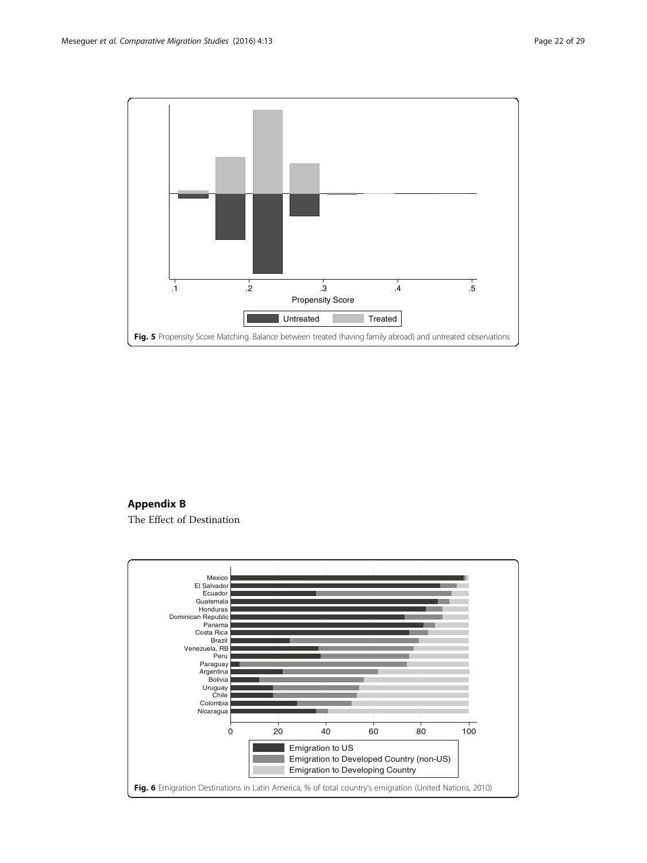<span id="page-21-0"></span>

# Appendix B

The Effect of Destination

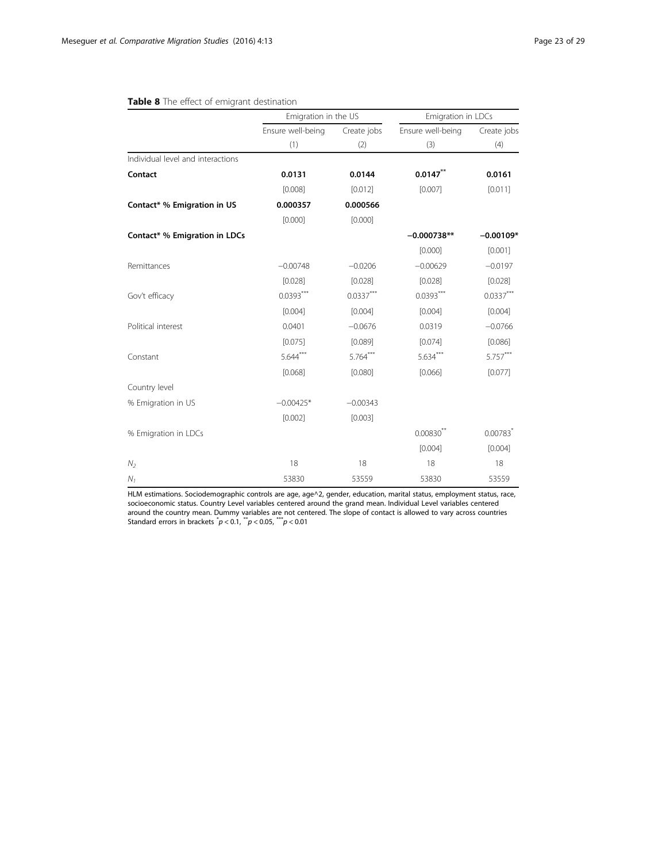|                                   | Emigration in the US |             | Emigration in LDCs |                        |
|-----------------------------------|----------------------|-------------|--------------------|------------------------|
|                                   | Ensure well-being    | Create jobs | Ensure well-being  | Create jobs            |
|                                   | (1)                  | (2)         | (3)                | (4)                    |
| Individual level and interactions |                      |             |                    |                        |
| Contact                           | 0.0131               | 0.0144      | $0.0147**$         | 0.0161                 |
|                                   | [0.008]              | [0.012]     | [0.007]            | [0.011]                |
| Contact* % Emigration in US       | 0.000357             | 0.000566    |                    |                        |
|                                   | [0.000]              | [0.000]     |                    |                        |
| Contact* % Emigration in LDCs     |                      |             | $-0.000738**$      | $-0.00109*$            |
|                                   |                      |             | [0.000]            | [0.001]                |
| Remittances                       | $-0.00748$           | $-0.0206$   | $-0.00629$         | $-0.0197$              |
|                                   | [0.028]              | [0.028]     | [0.028]            | [0.028]                |
| Gov't efficacy                    | $0.0393***$          | $0.0337***$ | $0.0393***$        | $0.0337***$            |
|                                   | [0.004]              | [0.004]     | [0.004]            | [0.004]                |
| Political interest                | 0.0401               | $-0.0676$   | 0.0319             | $-0.0766$              |
|                                   | [0.075]              | [0.089]     | [0.074]            | [0.086]                |
| Constant                          | $5.644***$           | $5.764***$  | $5.634***$         | $5.757***$             |
|                                   | [0.068]              | [0.080]     | [0.066]            | [0.077]                |
| Country level                     |                      |             |                    |                        |
| % Emigration in US                | $-0.00425*$          | $-0.00343$  |                    |                        |
|                                   | [0.002]              | [0.003]     |                    |                        |
| % Emigration in LDCs              |                      |             | 0.00830            | $0.00783$ <sup>*</sup> |
|                                   |                      |             | [0.004]            | [0.004]                |
| $N_2$                             | 18                   | 18          | 18                 | 18                     |
| N <sub>1</sub>                    | 53830                | 53559       | 53830              | 53559                  |

# Table 8 The effect of emigrant destination

HLM estimations. Sociodemographic controls are age, age^2, gender, education, marital status, employment status, race, socioeconomic status. Country Level variables centered around the grand mean. Individual Level variables centered around the country mean. Dummy variables are not centered. The slope of contact is allowed to vary across countries<br>Standard errors in brackets \*p < 0.1, \*\*p < 0.05, \*\*\*p < 0.01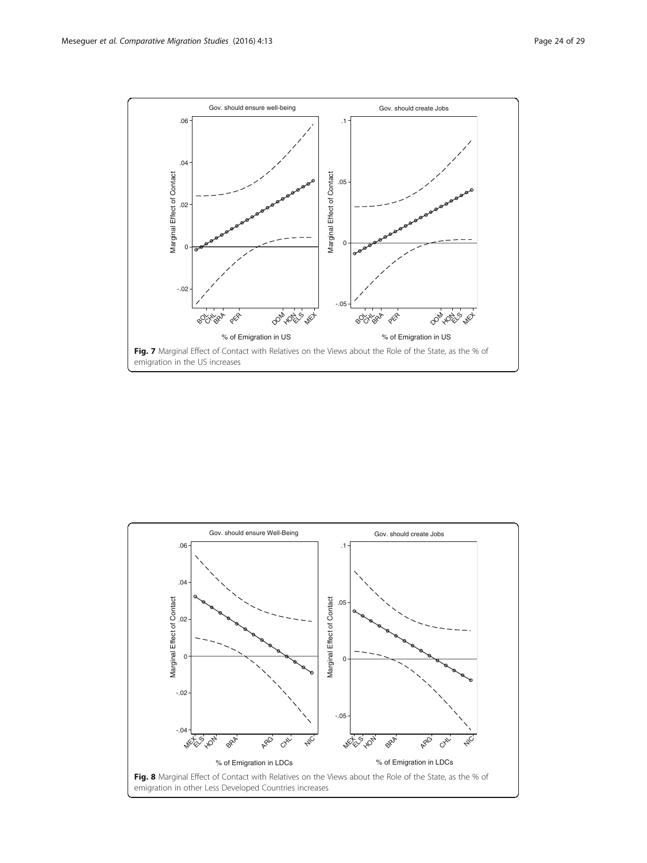

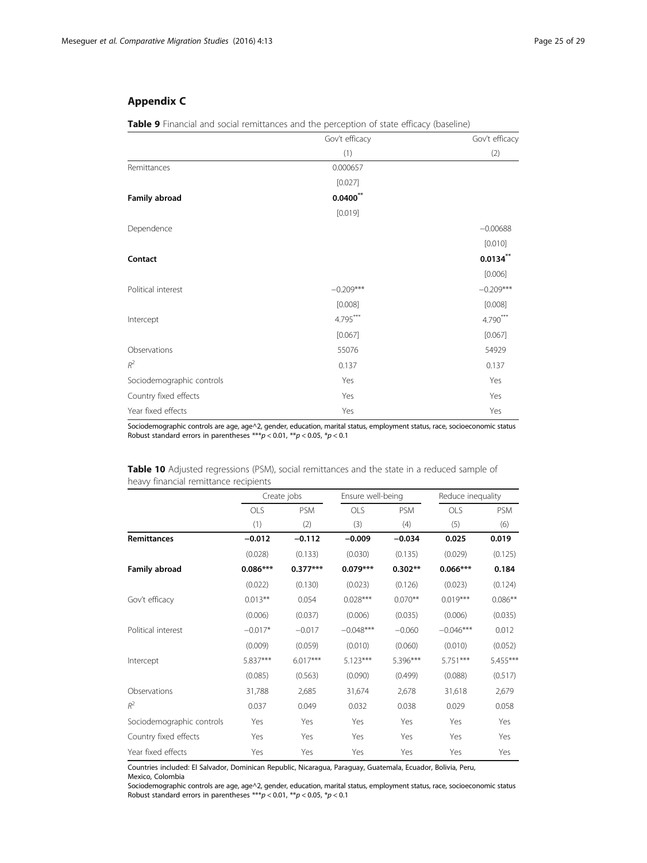# <span id="page-24-0"></span>Appendix C

| Table 9 Financial and social remittances and the perception of state efficacy (baseline) |  |  |
|------------------------------------------------------------------------------------------|--|--|
|------------------------------------------------------------------------------------------|--|--|

|                           | Gov't efficacy | Gov't efficacy |
|---------------------------|----------------|----------------|
|                           | (1)            | (2)            |
| Remittances               | 0.000657       |                |
|                           | [0.027]        |                |
| <b>Family abroad</b>      | $0.0400$ **    |                |
|                           | [0.019]        |                |
| Dependence                |                | $-0.00688$     |
|                           |                | [0.010]        |
| Contact                   |                | $0.0134***$    |
|                           |                | [0.006]        |
| Political interest        | $-0.209***$    | $-0.209***$    |
|                           | [0.008]        | [0.008]        |
| Intercept                 | 4.795***       | $4.790***$     |
|                           | [0.067]        | [0.067]        |
| Observations              | 55076          | 54929          |
| $R^2$                     | 0.137          | 0.137          |
| Sociodemographic controls | Yes            | Yes            |
| Country fixed effects     | Yes            | Yes            |
| Year fixed effects        | Yes            | Yes            |

Sociodemographic controls are age, age^2, gender, education, marital status, employment status, race, socioeconomic status Robust standard errors in parentheses  $***p$  < 0.01,  $**p$  < 0.05,  $*p$  < 0.1

| <b>Table 10</b> Adjusted regressions (PSM), social remittances and the state in a reduced sample of |  |  |
|-----------------------------------------------------------------------------------------------------|--|--|
| heavy financial remittance recipients                                                               |  |  |

|                           |            | Create jobs |             | Ensure well-being |             | Reduce inequality |  |
|---------------------------|------------|-------------|-------------|-------------------|-------------|-------------------|--|
|                           | <b>OLS</b> | <b>PSM</b>  | OLS         | <b>PSM</b>        | <b>OLS</b>  | <b>PSM</b>        |  |
|                           | (1)        | (2)         | (3)         | (4)               | (5)         | (6)               |  |
| <b>Remittances</b>        | $-0.012$   | $-0.112$    | $-0.009$    | $-0.034$          | 0.025       | 0.019             |  |
|                           | (0.028)    | (0.133)     | (0.030)     | (0.135)           | (0.029)     | (0.125)           |  |
| <b>Family abroad</b>      | $0.086***$ | $0.377***$  | $0.079***$  | $0.302**$         | $0.066***$  | 0.184             |  |
|                           | (0.022)    | (0.130)     | (0.023)     | (0.126)           | (0.023)     | (0.124)           |  |
| Gov't efficacy            | $0.013**$  | 0.054       | $0.028***$  | $0.070**$         | $0.019***$  | $0.086**$         |  |
|                           | (0.006)    | (0.037)     | (0.006)     | (0.035)           | (0.006)     | (0.035)           |  |
| Political interest        | $-0.017*$  | $-0.017$    | $-0.048***$ | $-0.060$          | $-0.046***$ | 0.012             |  |
|                           | (0.009)    | (0.059)     | (0.010)     | (0.060)           | (0.010)     | (0.052)           |  |
| Intercept                 | 5.837***   | $6.017***$  | $5.123***$  | 5.396***          | $5.751***$  | $5.455***$        |  |
|                           | (0.085)    | (0.563)     | (0.090)     | (0.499)           | (0.088)     | (0.517)           |  |
| Observations              | 31,788     | 2,685       | 31,674      | 2,678             | 31,618      | 2,679             |  |
| $R^2$                     | 0.037      | 0.049       | 0.032       | 0.038             | 0.029       | 0.058             |  |
| Sociodemographic controls | Yes        | Yes         | Yes         | Yes               | Yes         | Yes               |  |
| Country fixed effects     | Yes        | Yes         | Yes         | Yes               | Yes         | Yes               |  |
| Year fixed effects        | Yes        | Yes         | Yes         | Yes               | Yes         | Yes               |  |

Countries included: El Salvador, Dominican Republic, Nicaragua, Paraguay, Guatemala, Ecuador, Bolivia, Peru, Mexico, Colombia

Sociodemographic controls are age, age^2, gender, education, marital status, employment status, race, socioeconomic status Robust standard errors in parentheses \*\*\* $p < 0.01$ , \*\* $p < 0.05$ , \* $p < 0.1$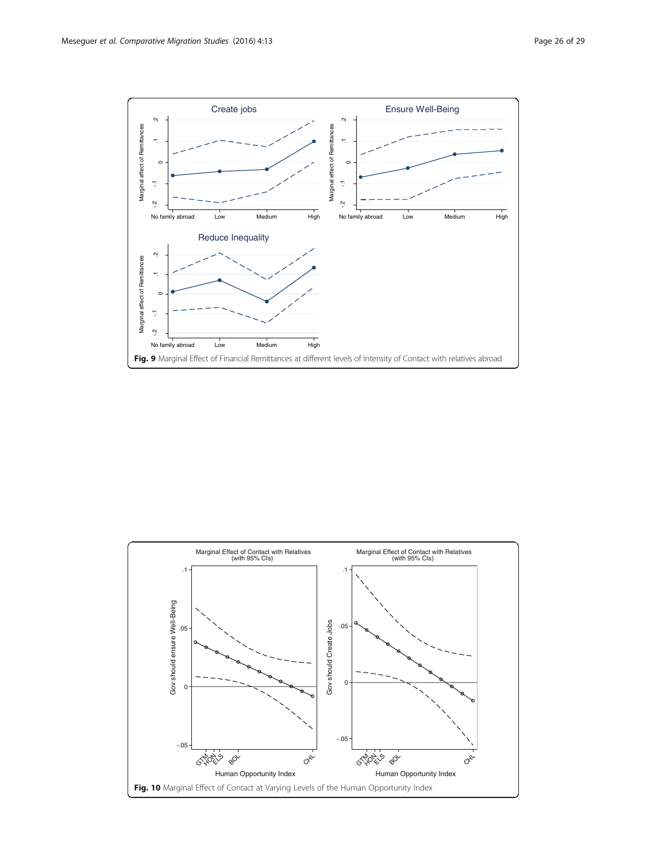

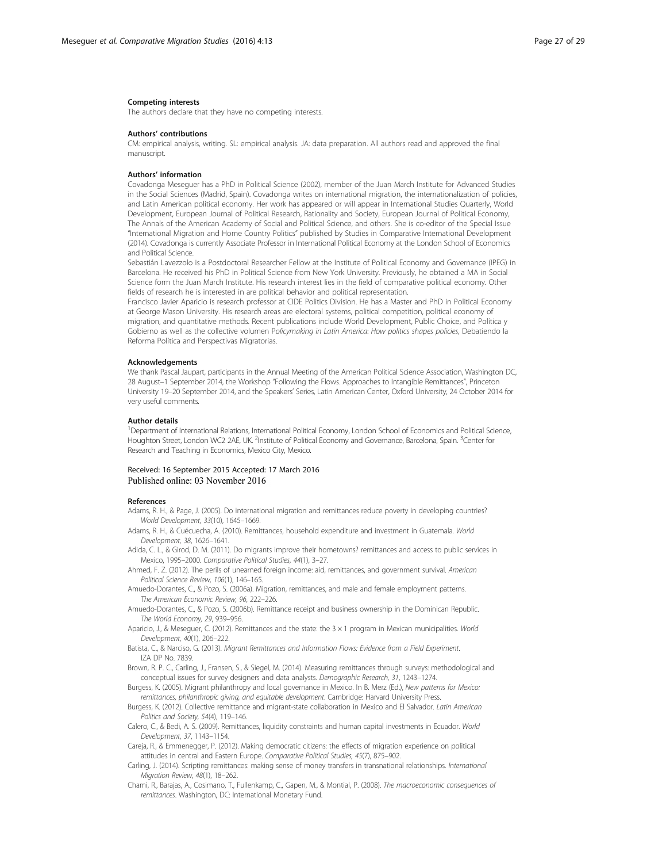#### <span id="page-26-0"></span>Competing interests

The authors declare that they have no competing interests.

#### Authors' contributions

CM: empirical analysis, writing. SL: empirical analysis. JA: data preparation. All authors read and approved the final manuscript.

#### Authors' information

Covadonga Meseguer has a PhD in Political Science (2002), member of the Juan March Institute for Advanced Studies in the Social Sciences (Madrid, Spain). Covadonga writes on international migration, the internationalization of policies, and Latin American political economy. Her work has appeared or will appear in International Studies Quarterly, World Development, European Journal of Political Research, Rationality and Society, European Journal of Political Economy, The Annals of the American Academy of Social and Political Science, and others. She is co-editor of the Special Issue "International Migration and Home Country Politics" published by Studies in Comparative International Development (2014). Covadonga is currently Associate Professor in International Political Economy at the London School of Economics and Political Science.

Sebastián Lavezzolo is a Postdoctoral Researcher Fellow at the Institute of Political Economy and Governance (IPEG) in Barcelona. He received his PhD in Political Science from New York University. Previously, he obtained a MA in Social Science form the Juan March Institute. His research interest lies in the field of comparative political economy. Other fields of research he is interested in are political behavior and political representation.

Francisco Javier Aparicio is research professor at CIDE Politics Division. He has a Master and PhD in Political Economy at George Mason University. His research areas are electoral systems, political competition, political economy of migration, and quantitative methods. Recent publications include World Development, Public Choice, and Política y Gobierno as well as the collective volumen Policymaking in Latin America: How politics shapes policies, Debatiendo la Reforma Política and Perspectivas Migratorias.

#### Acknowledgements

We thank Pascal Jaupart, participants in the Annual Meeting of the American Political Science Association, Washington DC, 28 August–1 September 2014, the Workshop "Following the Flows. Approaches to Intangible Remittances", Princeton University 19–20 September 2014, and the Speakers' Series, Latin American Center, Oxford University, 24 October 2014 for very useful comments.

#### Author details

<sup>1</sup>Department of International Relations, International Political Economy, London School of Economics and Political Science, Houghton Street, London WC2 2AE, UK. <sup>2</sup>Institute of Political Economy and Governance, Barcelona, Spain. <sup>3</sup>Center for Research and Teaching in Economics, Mexico City, Mexico.

### Received: 16 September 2015 Accepted: 17 March 2016 Published online: 03 November 2016

#### References

Adams, R. H., & Page, J. (2005). Do international migration and remittances reduce poverty in developing countries? World Development, 33(10), 1645–1669.

- Adams, R. H., & Cuécuecha, A. (2010). Remittances, household expenditure and investment in Guatemala. World Development, 38, 1626–1641.
- Adida, C. L., & Girod, D. M. (2011). Do migrants improve their hometowns? remittances and access to public services in Mexico, 1995–2000. Comparative Political Studies, 44(1), 3–27.
- Ahmed, F. Z. (2012). The perils of unearned foreign income: aid, remittances, and government survival. American Political Science Review, 106(1), 146–165.
- Amuedo-Dorantes, C., & Pozo, S. (2006a). Migration, remittances, and male and female employment patterns. The American Economic Review, 96, 222–226.
- Amuedo-Dorantes, C., & Pozo, S. (2006b). Remittance receipt and business ownership in the Dominican Republic. The World Economy, 29, 939–956.
- Aparicio, J., & Meseguer, C. (2012). Remittances and the state: the 3 × 1 program in Mexican municipalities. World Development, 40(1), 206–222.
- Batista, C., & Narciso, G. (2013). Migrant Remittances and Information Flows: Evidence from a Field Experiment. IZA DP No. 7839.
- Brown, R. P. C., Carling, J., Fransen, S., & Siegel, M. (2014). Measuring remittances through surveys: methodological and conceptual issues for survey designers and data analysts. Demographic Research, 31, 1243–1274.
- Burgess, K. (2005). Migrant philanthropy and local governance in Mexico. In B. Merz (Ed.), New patterns for Mexico: remittances, philanthropic giving, and equitable development. Cambridge: Harvard University Press.
- Burgess, K. (2012). Collective remittance and migrant-state collaboration in Mexico and El Salvador. Latin American Politics and Society, 54(4), 119-146.
- Calero, C., & Bedi, A. S. (2009). Remittances, liquidity constraints and human capital investments in Ecuador. World Development, 37, 1143–1154.
- Careja, R., & Emmenegger, P. (2012). Making democratic citizens: the effects of migration experience on political attitudes in central and Eastern Europe. Comparative Political Studies, 45(7), 875–902.
- Carling, J. (2014). Scripting remittances: making sense of money transfers in transnational relationships. International Migration Review, 48(1), 18–262.
- Chami, R., Barajas, A., Cosimano, T., Fullenkamp, C., Gapen, M., & Montial, P. (2008). The macroeconomic consequences of remittances. Washington, DC: International Monetary Fund.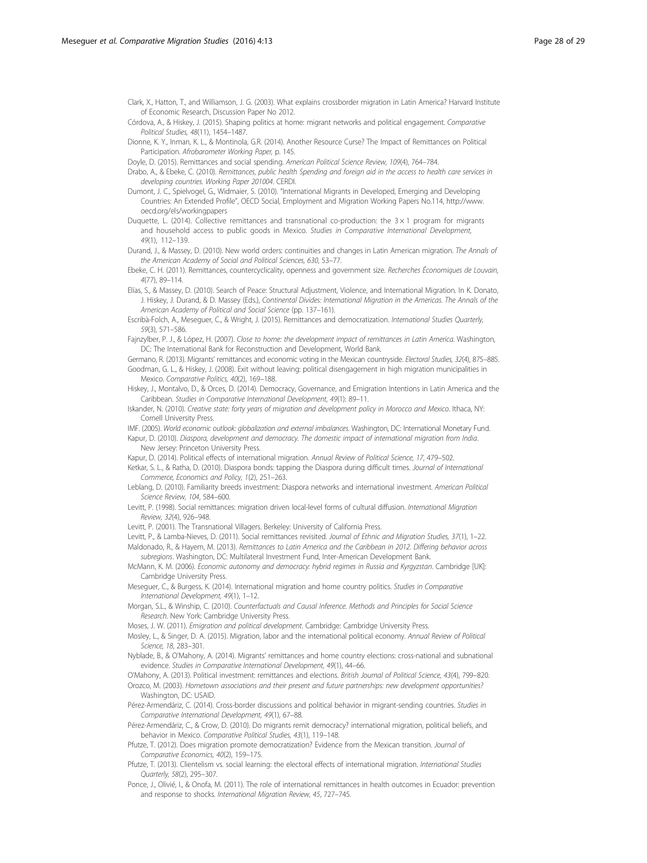- <span id="page-27-0"></span>Clark, X., Hatton, T., and Williamson, J. G. (2003). What explains crossborder migration in Latin America? Harvard Institute of Economic Research, Discussion Paper No 2012.
- Córdova, A., & Hiskey, J. (2015). Shaping politics at home: migrant networks and political engagement. Comparative Political Studies, 48(11), 1454–1487.
- Dionne, K. Y., Inman, K. L., & Montinola, G.R. (2014). Another Resource Curse? The Impact of Remittances on Political Participation. Afrobarometer Working Paper, p. 145.
- Doyle, D. (2015). Remittances and social spending. American Political Science Review, 109(4), 764–784.
- Drabo, A., & Ebeke, C. (2010). Remittances, public health Spending and foreign aid in the access to health care services in developing countries. Working Paper 201004. CERDI.
- Dumont, J. C., Spielvogel, G., Widmaier, S. (2010). "International Migrants in Developed, Emerging and Developing Countries: An Extended Profile", OECD Social, Employment and Migration Working Papers No.114, [http://www.](http://www.oecd.org/els/workingpapers) [oecd.org/els/workingpapers](http://www.oecd.org/els/workingpapers)
- Duquette, L. (2014). Collective remittances and transnational co-production: the  $3 \times 1$  program for migrants and household access to public goods in Mexico. Studies in Comparative International Development, 49(1), 112–139.
- Durand, J., & Massey, D. (2010). New world orders: continuities and changes in Latin American migration. The Annals of the American Academy of Social and Political Sciences, 630, 53–77.
- Ebeke, C. H. (2011). Remittances, countercyclicality, openness and government size. Recherches Économiques de Louvain, 4(77), 89–114.
- Elías, S., & Massey, D. (2010). Search of Peace: Structural Adjustment, Violence, and International Migration. In K. Donato, J. Hiskey, J. Durand, & D. Massey (Eds.), Continental Divides: International Migration in the Americas. The Annals of the American Academy of Political and Social Science (pp. 137–161).
- Escribà-Folch, A., Meseguer, C., & Wright, J. (2015). Remittances and democratization. International Studies Quarterly, 59(3), 571–586.
- Fajnzylber, P. J., & López, H. (2007). Close to home: the development impact of remittances in Latin America. Washington, DC: The International Bank for Reconstruction and Development, World Bank.
- Germano, R. (2013). Migrants' remittances and economic voting in the Mexican countryside. Electoral Studies, 32(4), 875–885. Goodman, G. L., & Hiskey, J. (2008). Exit without leaving: political disengagement in high migration municipalities in Mexico. Comparative Politics, 40(2), 169–188.
- Hiskey, J., Montalvo, D., & Orces, D. (2014). Democracy, Governance, and Emigration Intentions in Latin America and the Caribbean. Studies in Comparative International Development, 49(1): 89–11.
- Iskander, N. (2010). Creative state: forty years of migration and development policy in Morocco and Mexico. Ithaca, NY: Cornell University Press.
- IMF. (2005). World economic outlook: globalization and external imbalances. Washington, DC: International Monetary Fund. Kapur, D. (2010). Diaspora, development and democracy. The domestic impact of international migration from India. New Jersey: Princeton University Press.
- Kapur, D. (2014). Political effects of international migration. Annual Review of Political Science, 17, 479–502.
- Ketkar, S. L., & Ratha, D. (2010). Diaspora bonds: tapping the Diaspora during difficult times. Journal of International Commerce, Economics and Policy, 1(2), 251–263.
- Leblang, D. (2010). Familiarity breeds investment: Diaspora networks and international investment. American Political Science Review, 104, 584–600.
- Levitt, P. (1998). Social remittances: migration driven local-level forms of cultural diffusion. International Migration Review, 32(4), 926–948.
- Levitt, P. (2001). The Transnational Villagers. Berkeley: University of California Press.
- Levitt, P., & Lamba-Nieves, D. (2011). Social remittances revisited. Journal of Ethnic and Migration Studies, 37(1), 1–22. Maldonado, R., & Hayem, M. (2013). Remittances to Latin America and the Caribbean in 2012. Differing behavior across
- subregions. Washington, DC: Multilateral Investment Fund, Inter-American Development Bank.
- McMann, K. M. (2006). Economic autonomy and democracy: hybrid regimes in Russia and Kyrgyzstan. Cambridge [UK]: Cambridge University Press.
- Meseguer, C., & Burgess, K. (2014). International migration and home country politics. Studies in Comparative International Development, 49(1), 1–12.
- Morgan, S.L., & Winship, C. (2010). Counterfactuals and Causal Inference. Methods and Principles for Social Science Research. New York: Cambridge University Press.
- Moses, J. W. (2011). Emigration and political development. Cambridge: Cambridge University Press.
- Mosley, L., & Singer, D. A. (2015). Migration, labor and the international political economy. Annual Review of Political Science, 18, 283–301.
- Nyblade, B., & O'Mahony, A. (2014). Migrants' remittances and home country elections: cross-national and subnational evidence. Studies in Comparative International Development, 49(1), 44–66.
- O'Mahony, A. (2013). Political investment: remittances and elections. British Journal of Political Science, 43(4), 799–820. Orozco, M. (2003). Hometown associations and their present and future partnerships: new development opportunities? Washington, DC: USAID.
- Pérez-Armendáriz, C. (2014). Cross-border discussions and political behavior in migrant-sending countries. Studies in Comparative International Development, 49(1), 67–88.
- Pérez-Armendáriz, C., & Crow, D. (2010). Do migrants remit democracy? international migration, political beliefs, and behavior in Mexico. Comparative Political Studies, 43(1), 119–148.
- Pfutze, T. (2012). Does migration promote democratization? Evidence from the Mexican transition. Journal of Comparative Economics, 40(2), 159–175.
- Pfutze, T. (2013). Clientelism vs. social learning: the electoral effects of international migration. International Studies Quarterly, 58(2), 295–307.
- Ponce, J., Olivié, I., & Onofa, M. (2011). The role of international remittances in health outcomes in Ecuador: prevention and response to shocks. International Migration Review, 45, 727–745.